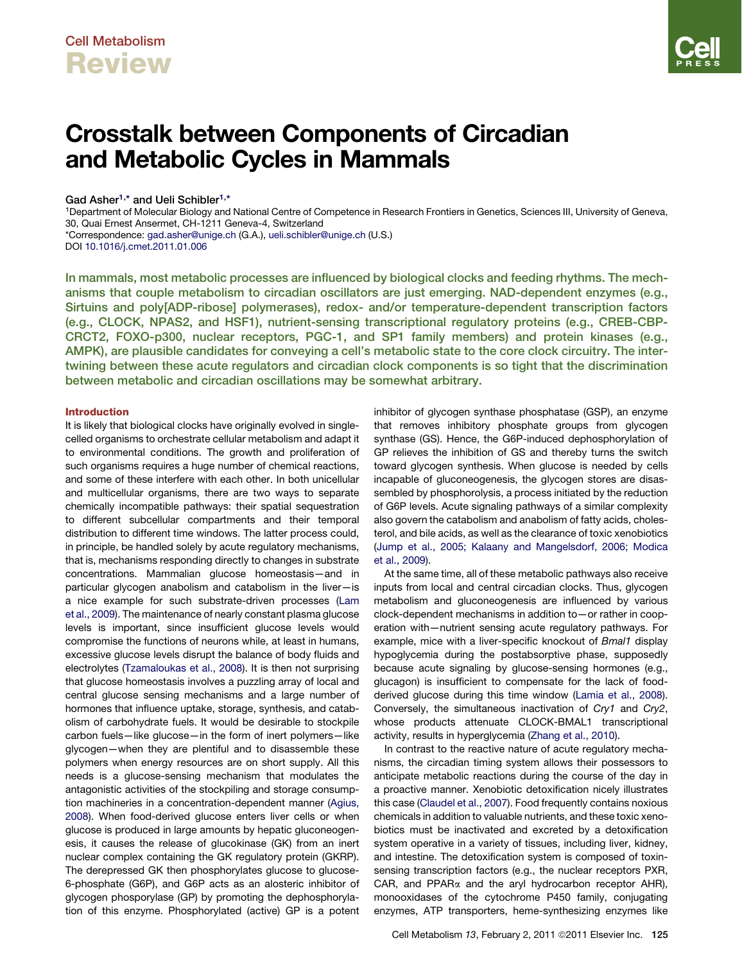# Crosstalk between Components of Circadian and Metabolic Cycles in Mammals

Gad Asher<sup>1,\*</sup> and Ueli Schibler<sup>1,\*</sup>

1Department of Molecular Biology and National Centre of Competence in Research Frontiers in Genetics, Sciences III, University of Geneva, 30, Quai Ernest Ansermet, CH-1211 Geneva-4, Switzerland \*Correspondence: [gad.asher@unige.ch](mailto:gad.asher@unige.ch) (G.A.), [ueli.schibler@unige.ch](mailto:ueli.schibler@unige.ch) (U.S.)

DOI [10.1016/j.cmet.2011.01.006](http://dx.doi.org/10.1016/j.cmet.2011.01.006)

In mammals, most metabolic processes are influenced by biological clocks and feeding rhythms. The mechanisms that couple metabolism to circadian oscillators are just emerging. NAD-dependent enzymes (e.g., Sirtuins and poly[ADP-ribose] polymerases), redox- and/or temperature-dependent transcription factors (e.g., CLOCK, NPAS2, and HSF1), nutrient-sensing transcriptional regulatory proteins (e.g., CREB-CBP-CRCT2, FOXO-p300, nuclear receptors, PGC-1, and SP1 family members) and protein kinases (e.g., AMPK), are plausible candidates for conveying a cell's metabolic state to the core clock circuitry. The intertwining between these acute regulators and circadian clock components is so tight that the discrimination between metabolic and circadian oscillations may be somewhat arbitrary.

### Introduction

It is likely that biological clocks have originally evolved in singlecelled organisms to orchestrate cellular metabolism and adapt it to environmental conditions. The growth and proliferation of such organisms requires a huge number of chemical reactions, and some of these interfere with each other. In both unicellular and multicellular organisms, there are two ways to separate chemically incompatible pathways: their spatial sequestration to different subcellular compartments and their temporal distribution to different time windows. The latter process could, in principle, be handled solely by acute regulatory mechanisms, that is, mechanisms responding directly to changes in substrate concentrations. Mammalian glucose homeostasis—and in particular glycogen anabolism and catabolism in the liver—is a nice example for such substrate-driven processes ([Lam](#page-10-0) [et al., 2009](#page-10-0)). The maintenance of nearly constant plasma glucose levels is important, since insufficient glucose levels would compromise the functions of neurons while, at least in humans, excessive glucose levels disrupt the balance of body fluids and electrolytes ([Tzamaloukas et al., 2008\)](#page-11-0). It is then not surprising that glucose homeostasis involves a puzzling array of local and central glucose sensing mechanisms and a large number of hormones that influence uptake, storage, synthesis, and catabolism of carbohydrate fuels. It would be desirable to stockpile carbon fuels—like glucose—in the form of inert polymers—like glycogen—when they are plentiful and to disassemble these polymers when energy resources are on short supply. All this needs is a glucose-sensing mechanism that modulates the antagonistic activities of the stockpiling and storage consumption machineries in a concentration-dependent manner ([Agius,](#page-9-0) [2008\)](#page-9-0). When food-derived glucose enters liver cells or when glucose is produced in large amounts by hepatic gluconeogenesis, it causes the release of glucokinase (GK) from an inert nuclear complex containing the GK regulatory protein (GKRP). The derepressed GK then phosphorylates glucose to glucose-6-phosphate (G6P), and G6P acts as an alosteric inhibitor of glycogen phosporylase (GP) by promoting the dephosphorylation of this enzyme. Phosphorylated (active) GP is a potent

inhibitor of glycogen synthase phosphatase (GSP), an enzyme that removes inhibitory phosphate groups from glycogen synthase (GS). Hence, the G6P-induced dephosphorylation of GP relieves the inhibition of GS and thereby turns the switch toward glycogen synthesis. When glucose is needed by cells incapable of gluconeogenesis, the glycogen stores are disassembled by phosphorolysis, a process initiated by the reduction of G6P levels. Acute signaling pathways of a similar complexity also govern the catabolism and anabolism of fatty acids, cholesterol, and bile acids, as well as the clearance of toxic xenobiotics [\(Jump et al., 2005; Kalaany and Mangelsdorf, 2006; Modica](#page-10-0) [et al., 2009](#page-10-0)).

At the same time, all of these metabolic pathways also receive inputs from local and central circadian clocks. Thus, glycogen metabolism and gluconeogenesis are influenced by various clock-dependent mechanisms in addition to—or rather in cooperation with—nutrient sensing acute regulatory pathways. For example, mice with a liver-specific knockout of *Bmal1* display hypoglycemia during the postabsorptive phase, supposedly because acute signaling by glucose-sensing hormones (e.g., glucagon) is insufficient to compensate for the lack of foodderived glucose during this time window [\(Lamia et al., 2008\)](#page-10-0). Conversely, the simultaneous inactivation of *Cry1* and *Cry2*, whose products attenuate CLOCK-BMAL1 transcriptional activity, results in hyperglycemia ([Zhang et al., 2010\)](#page-12-0).

In contrast to the reactive nature of acute regulatory mechanisms, the circadian timing system allows their possessors to anticipate metabolic reactions during the course of the day in a proactive manner. Xenobiotic detoxification nicely illustrates this case [\(Claudel et al., 2007\)](#page-10-0). Food frequently contains noxious chemicals in addition to valuable nutrients, and these toxic xenobiotics must be inactivated and excreted by a detoxification system operative in a variety of tissues, including liver, kidney, and intestine. The detoxification system is composed of toxinsensing transcription factors (e.g., the nuclear receptors PXR, CAR, and PPAR $\alpha$  and the aryl hydrocarbon receptor AHR), monooxidases of the cytochrome P450 family, conjugating enzymes, ATP transporters, heme-synthesizing enzymes like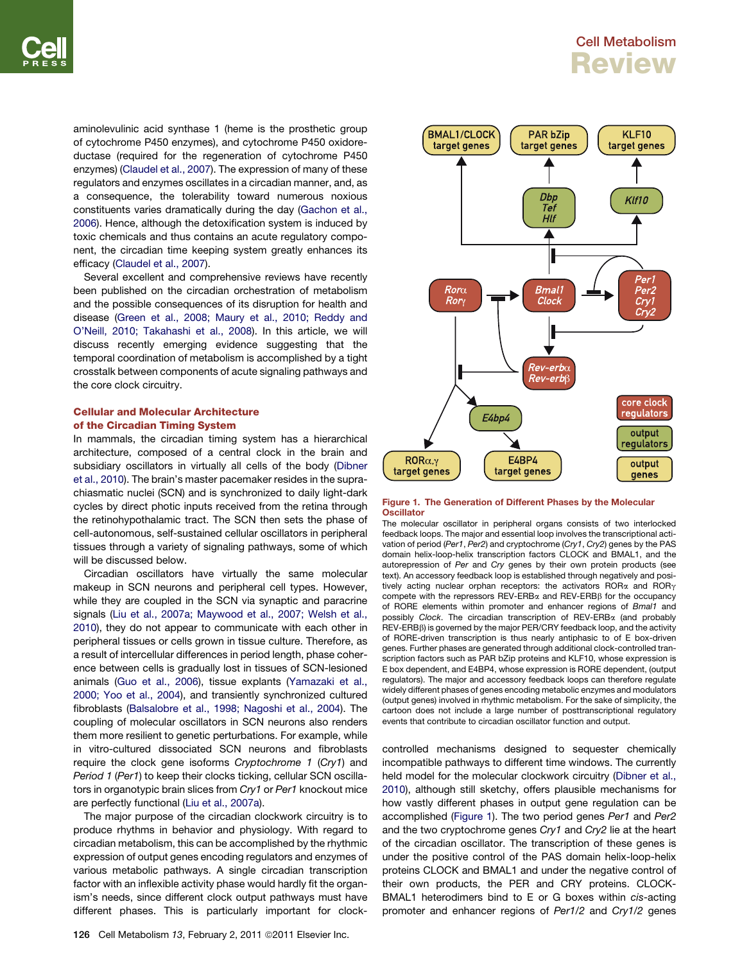<span id="page-1-0"></span>aminolevulinic acid synthase 1 (heme is the prosthetic group of cytochrome P450 enzymes), and cytochrome P450 oxidoreductase (required for the regeneration of cytochrome P450 enzymes) ([Claudel et al., 2007](#page-10-0)). The expression of many of these regulators and enzymes oscillates in a circadian manner, and, as a consequence, the tolerability toward numerous noxious constituents varies dramatically during the day ([Gachon et al.,](#page-10-0) [2006](#page-10-0)). Hence, although the detoxification system is induced by toxic chemicals and thus contains an acute regulatory component, the circadian time keeping system greatly enhances its efficacy ([Claudel et al., 2007\)](#page-10-0).

Several excellent and comprehensive reviews have recently been published on the circadian orchestration of metabolism and the possible consequences of its disruption for health and disease [\(Green et al., 2008; Maury et al., 2010; Reddy and](#page-10-0) [O'Neill, 2010; Takahashi et al., 2008\)](#page-10-0). In this article, we will discuss recently emerging evidence suggesting that the temporal coordination of metabolism is accomplished by a tight crosstalk between components of acute signaling pathways and the core clock circuitry.

### Cellular and Molecular Architecture of the Circadian Timing System

In mammals, the circadian timing system has a hierarchical architecture, composed of a central clock in the brain and subsidiary oscillators in virtually all cells of the body ([Dibner](#page-10-0) [et al., 2010\)](#page-10-0). The brain's master pacemaker resides in the suprachiasmatic nuclei (SCN) and is synchronized to daily light-dark cycles by direct photic inputs received from the retina through the retinohypothalamic tract. The SCN then sets the phase of cell-autonomous, self-sustained cellular oscillators in peripheral tissues through a variety of signaling pathways, some of which will be discussed below.

Circadian oscillators have virtually the same molecular makeup in SCN neurons and peripheral cell types. However, while they are coupled in the SCN via synaptic and paracrine signals ([Liu et al., 2007a; Maywood et al., 2007; Welsh et al.,](#page-10-0) [2010](#page-10-0)), they do not appear to communicate with each other in peripheral tissues or cells grown in tissue culture. Therefore, as a result of intercellular differences in period length, phase coherence between cells is gradually lost in tissues of SCN-lesioned animals [\(Guo et al., 2006](#page-10-0)), tissue explants [\(Yamazaki et al.,](#page-12-0) [2000; Yoo et al., 2004\)](#page-12-0), and transiently synchronized cultured fibroblasts [\(Balsalobre et al., 1998; Nagoshi et al., 2004\)](#page-9-0). The coupling of molecular oscillators in SCN neurons also renders them more resilient to genetic perturbations. For example, while in vitro-cultured dissociated SCN neurons and fibroblasts require the clock gene isoforms *Cryptochrome 1* (*Cry1*) and *Period 1* (*Per1*) to keep their clocks ticking, cellular SCN oscillators in organotypic brain slices from *Cry1* or *Per1* knockout mice are perfectly functional ([Liu et al., 2007a\)](#page-10-0).

The major purpose of the circadian clockwork circuitry is to produce rhythms in behavior and physiology. With regard to circadian metabolism, this can be accomplished by the rhythmic expression of output genes encoding regulators and enzymes of various metabolic pathways. A single circadian transcription factor with an inflexible activity phase would hardly fit the organism's needs, since different clock output pathways must have different phases. This is particularly important for clock-

# Cell Metabolism **Review**



#### Figure 1. The Generation of Different Phases by the Molecular **Oscillator**

The molecular oscillator in peripheral organs consists of two interlocked feedback loops. The major and essential loop involves the transcriptional activation of period (*Per1*, *Per2*) and cryptochrome (*Cry1*, *Cry2*) genes by the PAS domain helix-loop-helix transcription factors CLOCK and BMAL1, and the autorepression of *Per* and *Cry* genes by their own protein products (see text). An accessory feedback loop is established through negatively and positively acting nuclear orphan receptors: the activators ROR $\alpha$  and ROR $\gamma$ compete with the repressors REV-ERB $\alpha$  and REV-ERB $\beta$  for the occupancy of RORE elements within promoter and enhancer regions of *Bmal1* and possibly *Clock*. The circadian transcription of REV-ERBa (and probably REV-ERB $\beta$ ) is governed by the major PER/CRY feedback loop, and the activity of RORE-driven transcription is thus nearly antiphasic to of E box-driven genes. Further phases are generated through additional clock-controlled transcription factors such as PAR bZip proteins and KLF10, whose expression is E box dependent, and E4BP4, whose expression is RORE dependent, (output regulators). The major and accessory feedback loops can therefore regulate widely different phases of genes encoding metabolic enzymes and modulators (output genes) involved in rhythmic metabolism. For the sake of simplicity, the cartoon does not include a large number of posttranscriptional regulatory events that contribute to circadian oscillator function and output.

controlled mechanisms designed to sequester chemically incompatible pathways to different time windows. The currently held model for the molecular clockwork circuitry ([Dibner et al.,](#page-10-0) [2010\)](#page-10-0), although still sketchy, offers plausible mechanisms for how vastly different phases in output gene regulation can be accomplished (Figure 1). The two period genes *Per1* and *Per2* and the two cryptochrome genes *Cry1* and *Cry2* lie at the heart of the circadian oscillator. The transcription of these genes is under the positive control of the PAS domain helix-loop-helix proteins CLOCK and BMAL1 and under the negative control of their own products, the PER and CRY proteins. CLOCK-BMAL1 heterodimers bind to E or G boxes within *cis*-acting promoter and enhancer regions of *Per1*/*2* and *Cry1*/*2* genes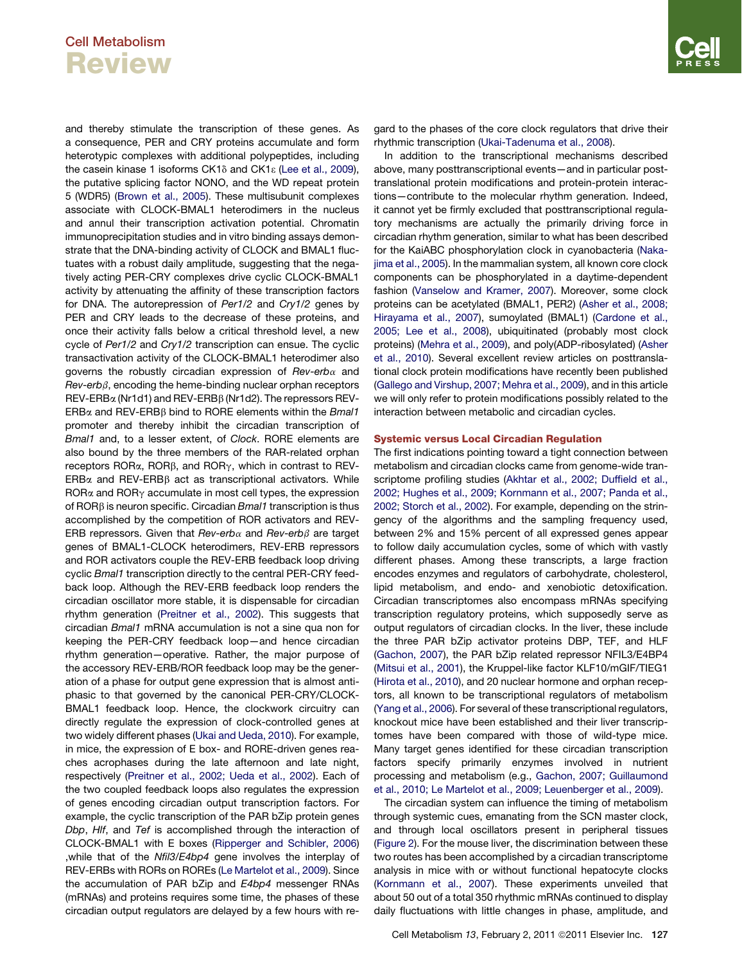and thereby stimulate the transcription of these genes. As a consequence, PER and CRY proteins accumulate and form heterotypic complexes with additional polypeptides, including the casein kinase 1 isoforms  $CK1\delta$  and  $CK1\epsilon$  ([Lee et al., 2009\)](#page-10-0), the putative splicing factor NONO, and the WD repeat protein 5 (WDR5) [\(Brown et al., 2005](#page-9-0)). These multisubunit complexes associate with CLOCK-BMAL1 heterodimers in the nucleus and annul their transcription activation potential. Chromatin immunoprecipitation studies and in vitro binding assays demonstrate that the DNA-binding activity of CLOCK and BMAL1 fluctuates with a robust daily amplitude, suggesting that the negatively acting PER-CRY complexes drive cyclic CLOCK-BMAL1 activity by attenuating the affinity of these transcription factors for DNA. The autorepression of *Per1*/*2* and *Cry1*/*2* genes by PER and CRY leads to the decrease of these proteins, and once their activity falls below a critical threshold level, a new cycle of *Per1*/*2* and *Cry1*/*2* transcription can ensue. The cyclic transactivation activity of the CLOCK-BMAL1 heterodimer also governs the robustly circadian expression of *Rev-erb*a and  $Rev-erb\beta$ , encoding the heme-binding nuclear orphan receptors REV-ERBα (Nr1d1) and REV-ERBβ (Nr1d2). The repressors REV-ERBa and REV-ERBb bind to RORE elements within the *Bmal1* promoter and thereby inhibit the circadian transcription of *Bmal1* and, to a lesser extent, of *Clock*. RORE elements are also bound by the three members of the RAR-related orphan receptors ROR $\alpha$ , ROR $\beta$ , and ROR $\gamma$ , which in contrast to REV- $ERB\alpha$  and REV-ERB $\beta$  act as transcriptional activators. While  $ROR\alpha$  and  $ROR\gamma$  accumulate in most cell types, the expression of RORb is neuron specific. Circadian *Bmal1* transcription is thus accomplished by the competition of ROR activators and REV-ERB repressors. Given that  $Rev-erb\alpha$  and  $Rev-erb\beta$  are target genes of BMAL1-CLOCK heterodimers, REV-ERB repressors and ROR activators couple the REV-ERB feedback loop driving cyclic *Bmal1* transcription directly to the central PER-CRY feedback loop. Although the REV-ERB feedback loop renders the circadian oscillator more stable, it is dispensable for circadian rhythm generation [\(Preitner et al., 2002](#page-11-0)). This suggests that circadian *Bmal1* mRNA accumulation is not a sine qua non for keeping the PER-CRY feedback loop—and hence circadian rhythm generation—operative. Rather, the major purpose of the accessory REV-ERB/ROR feedback loop may be the generation of a phase for output gene expression that is almost antiphasic to that governed by the canonical PER-CRY/CLOCK-BMAL1 feedback loop. Hence, the clockwork circuitry can directly regulate the expression of clock-controlled genes at two widely different phases ([Ukai and Ueda, 2010\)](#page-11-0). For example, in mice, the expression of E box- and RORE-driven genes reaches acrophases during the late afternoon and late night, respectively ([Preitner et al., 2002; Ueda et al., 2002](#page-11-0)). Each of the two coupled feedback loops also regulates the expression of genes encoding circadian output transcription factors. For example, the cyclic transcription of the PAR bZip protein genes *Dbp*, *Hlf*, and *Tef* is accomplished through the interaction of CLOCK-BMAL1 with E boxes ([Ripperger and Schibler, 2006\)](#page-11-0) ,while that of the *Nfil3*/*E4bp4* gene involves the interplay of REV-ERBs with RORs on ROREs ([Le Martelot et al., 2009\)](#page-10-0). Since the accumulation of PAR bZip and *E4bp4* messenger RNAs (mRNAs) and proteins requires some time, the phases of these circadian output regulators are delayed by a few hours with regard to the phases of the core clock regulators that drive their rhythmic transcription [\(Ukai-Tadenuma et al., 2008\)](#page-11-0).

In addition to the transcriptional mechanisms described above, many posttranscriptional events—and in particular posttranslational protein modifications and protein-protein interactions—contribute to the molecular rhythm generation. Indeed, it cannot yet be firmly excluded that posttranscriptional regulatory mechanisms are actually the primarily driving force in circadian rhythm generation, similar to what has been described for the KaiABC phosphorylation clock in cyanobacteria [\(Naka](#page-11-0)[jima et al., 2005](#page-11-0)). In the mammalian system, all known core clock components can be phosphorylated in a daytime-dependent fashion [\(Vanselow and Kramer, 2007\)](#page-11-0). Moreover, some clock proteins can be acetylated (BMAL1, PER2) [\(Asher et al., 2008;](#page-9-0) [Hirayama et al., 2007](#page-9-0)), sumoylated (BMAL1) [\(Cardone et al.,](#page-9-0) [2005; Lee et al., 2008](#page-9-0)), ubiquitinated (probably most clock proteins) ([Mehra et al., 2009\)](#page-11-0), and poly(ADP-ribosylated) [\(Asher](#page-9-0) [et al., 2010](#page-9-0)). Several excellent review articles on posttranslational clock protein modifications have recently been published [\(Gallego and Virshup, 2007; Mehra et al., 2009\)](#page-10-0), and in this article we will only refer to protein modifications possibly related to the interaction between metabolic and circadian cycles.

### Systemic versus Local Circadian Regulation

The first indications pointing toward a tight connection between metabolism and circadian clocks came from genome-wide transcriptome profiling studies ([Akhtar et al., 2002; Duffield et al.,](#page-9-0) [2002; Hughes et al., 2009; Kornmann et al., 2007; Panda et al.,](#page-9-0) [2002; Storch et al., 2002\)](#page-9-0). For example, depending on the stringency of the algorithms and the sampling frequency used, between 2% and 15% percent of all expressed genes appear to follow daily accumulation cycles, some of which with vastly different phases. Among these transcripts, a large fraction encodes enzymes and regulators of carbohydrate, cholesterol, lipid metabolism, and endo- and xenobiotic detoxification. Circadian transcriptomes also encompass mRNAs specifying transcription regulatory proteins, which supposedly serve as output regulators of circadian clocks. In the liver, these include the three PAR bZip activator proteins DBP, TEF, and HLF [\(Gachon, 2007](#page-10-0)), the PAR bZip related repressor NFIL3/E4BP4 [\(Mitsui et al., 2001](#page-11-0)), the Kruppel-like factor KLF10/mGIF/TIEG1 [\(Hirota et al., 2010\)](#page-10-0), and 20 nuclear hormone and orphan receptors, all known to be transcriptional regulators of metabolism [\(Yang et al., 2006\)](#page-12-0). For several of these transcriptional regulators, knockout mice have been established and their liver transcriptomes have been compared with those of wild-type mice. Many target genes identified for these circadian transcription factors specify primarily enzymes involved in nutrient processing and metabolism (e.g., [Gachon, 2007; Guillaumond](#page-10-0) et [al., 2010; Le Martelot et al., 2009; Leuenberger et al., 2009](#page-10-0)).

The circadian system can influence the timing of metabolism through systemic cues, emanating from the SCN master clock, and through local oscillators present in peripheral tissues [\(Figure 2\)](#page-3-0). For the mouse liver, the discrimination between these two routes has been accomplished by a circadian transcriptome analysis in mice with or without functional hepatocyte clocks [\(Kornmann et al., 2007\)](#page-10-0). These experiments unveiled that about 50 out of a total 350 rhythmic mRNAs continued to display daily fluctuations with little changes in phase, amplitude, and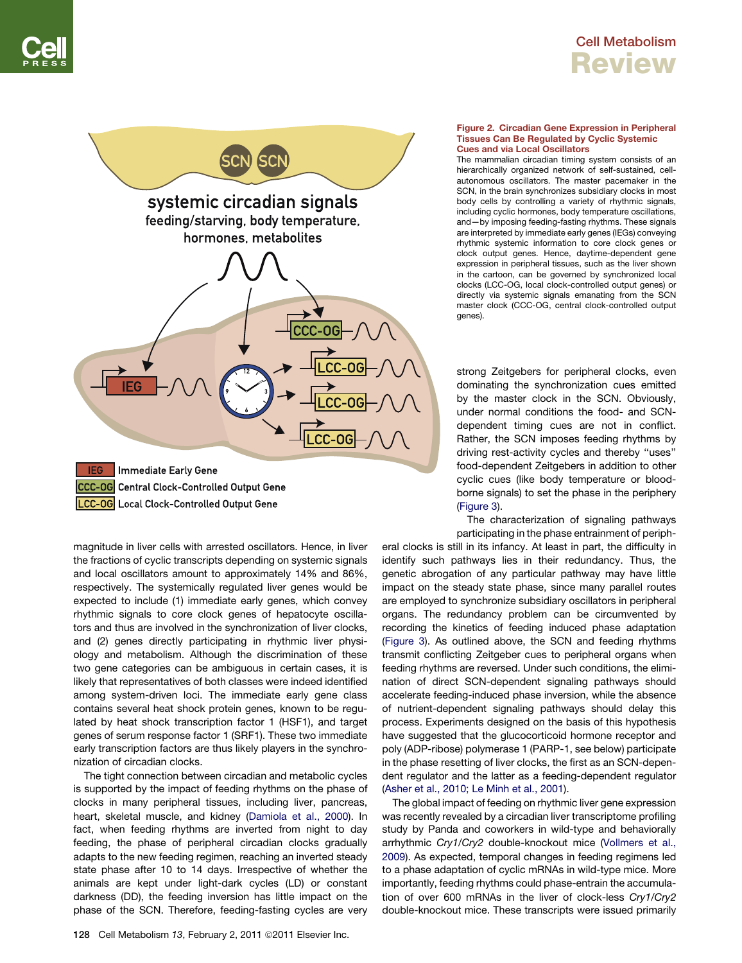<span id="page-3-0"></span>

CCC-OG Central Clock-Controlled Output Gene LCC-OG Local Clock-Controlled Output Gene

magnitude in liver cells with arrested oscillators. Hence, in liver the fractions of cyclic transcripts depending on systemic signals and local oscillators amount to approximately 14% and 86%, respectively. The systemically regulated liver genes would be expected to include (1) immediate early genes, which convey rhythmic signals to core clock genes of hepatocyte oscillators and thus are involved in the synchronization of liver clocks, and (2) genes directly participating in rhythmic liver physiology and metabolism. Although the discrimination of these two gene categories can be ambiguous in certain cases, it is likely that representatives of both classes were indeed identified among system-driven loci. The immediate early gene class contains several heat shock protein genes, known to be regulated by heat shock transcription factor 1 (HSF1), and target genes of serum response factor 1 (SRF1). These two immediate early transcription factors are thus likely players in the synchronization of circadian clocks.

The tight connection between circadian and metabolic cycles is supported by the impact of feeding rhythms on the phase of clocks in many peripheral tissues, including liver, pancreas, heart, skeletal muscle, and kidney [\(Damiola et al., 2000](#page-10-0)). In fact, when feeding rhythms are inverted from night to day feeding, the phase of peripheral circadian clocks gradually adapts to the new feeding regimen, reaching an inverted steady state phase after 10 to 14 days. Irrespective of whether the animals are kept under light-dark cycles (LD) or constant darkness (DD), the feeding inversion has little impact on the phase of the SCN. Therefore, feeding-fasting cycles are very

#### Figure 2. Circadian Gene Expression in Peripheral Tissues Can Be Regulated by Cyclic Systemic Cues and via Local Oscillators

Cell Metabolism **Review** 

The mammalian circadian timing system consists of an hierarchically organized network of self-sustained, cellautonomous oscillators. The master pacemaker in the SCN, in the brain synchronizes subsidiary clocks in most body cells by controlling a variety of rhythmic signals, including cyclic hormones, body temperature oscillations, and—by imposing feeding-fasting rhythms. These signals are interpreted by immediate early genes (IEGs) conveying rhythmic systemic information to core clock genes or clock output genes. Hence, daytime-dependent gene expression in peripheral tissues, such as the liver shown in the cartoon, can be governed by synchronized local clocks (LCC-OG, local clock-controlled output genes) or directly via systemic signals emanating from the SCN master clock (CCC-OG, central clock-controlled output genes).

strong Zeitgebers for peripheral clocks, even dominating the synchronization cues emitted by the master clock in the SCN. Obviously, under normal conditions the food- and SCNdependent timing cues are not in conflict. Rather, the SCN imposes feeding rhythms by driving rest-activity cycles and thereby ''uses'' food-dependent Zeitgebers in addition to other cyclic cues (like body temperature or bloodborne signals) to set the phase in the periphery ([Figure 3](#page-4-0)).

The characterization of signaling pathways participating in the phase entrainment of periph-

eral clocks is still in its infancy. At least in part, the difficulty in identify such pathways lies in their redundancy. Thus, the genetic abrogation of any particular pathway may have little impact on the steady state phase, since many parallel routes are employed to synchronize subsidiary oscillators in peripheral organs. The redundancy problem can be circumvented by recording the kinetics of feeding induced phase adaptation [\(Figure 3](#page-4-0)). As outlined above, the SCN and feeding rhythms transmit conflicting Zeitgeber cues to peripheral organs when feeding rhythms are reversed. Under such conditions, the elimination of direct SCN-dependent signaling pathways should accelerate feeding-induced phase inversion, while the absence of nutrient-dependent signaling pathways should delay this process. Experiments designed on the basis of this hypothesis have suggested that the glucocorticoid hormone receptor and poly (ADP-ribose) polymerase 1 (PARP-1, see below) participate in the phase resetting of liver clocks, the first as an SCN-dependent regulator and the latter as a feeding-dependent regulator [\(Asher et al., 2010; Le Minh et al., 2001](#page-9-0)).

The global impact of feeding on rhythmic liver gene expression was recently revealed by a circadian liver transcriptome profiling study by Panda and coworkers in wild-type and behaviorally arrhythmic *Cry1*/*Cry2* double-knockout mice ([Vollmers et al.,](#page-11-0) [2009\)](#page-11-0). As expected, temporal changes in feeding regimens led to a phase adaptation of cyclic mRNAs in wild-type mice. More importantly, feeding rhythms could phase-entrain the accumulation of over 600 mRNAs in the liver of clock-less *Cry1/Cry2* double-knockout mice. These transcripts were issued primarily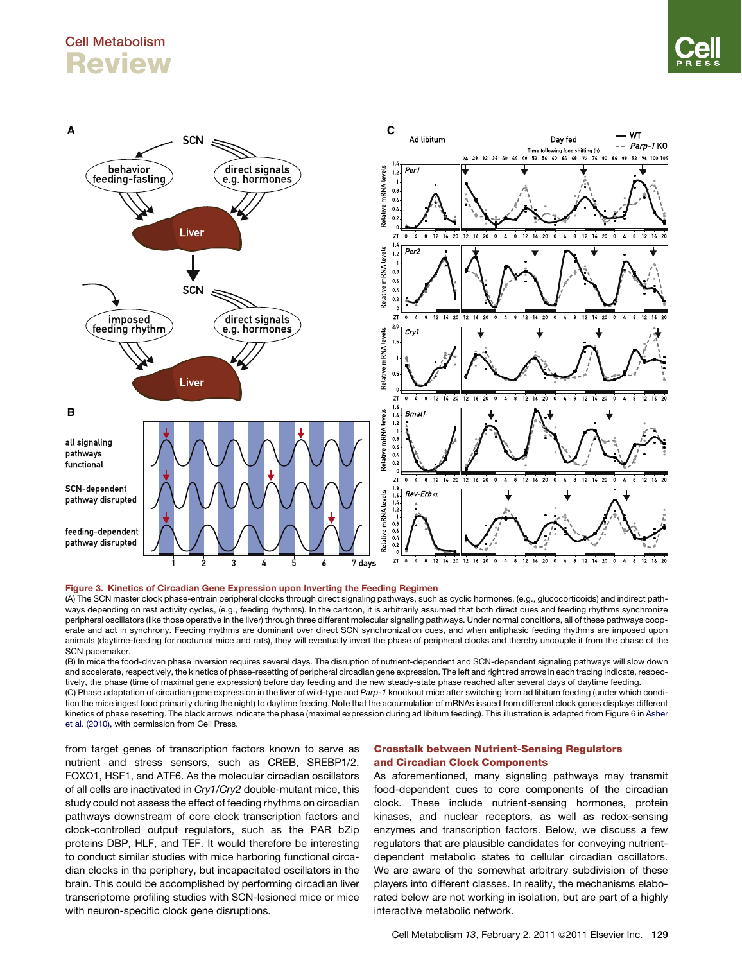<span id="page-4-0"></span>

Figure 3. Kinetics of Circadian Gene Expression upon Inverting the Feeding Regimen

(A) The SCN master clock phase-entrain peripheral clocks through direct signaling pathways, such as cyclic hormones, (e.g., glucocorticoids) and indirect pathways depending on rest activity cycles, (e.g., feeding rhythms). In the cartoon, it is arbitrarily assumed that both direct cues and feeding rhythms synchronize peripheral oscillators (like those operative in the liver) through three different molecular signaling pathways. Under normal conditions, all of these pathways cooperate and act in synchrony. Feeding rhythms are dominant over direct SCN synchronization cues, and when antiphasic feeding rhythms are imposed upon animals (daytime-feeding for nocturnal mice and rats), they will eventually invert the phase of peripheral clocks and thereby uncouple it from the phase of the SCN pacemaker.

(B) In mice the food-driven phase inversion requires several days. The disruption of nutrient-dependent and SCN-dependent signaling pathways will slow down and accelerate, respectively, the kinetics of phase-resetting of peripheral circadian gene expression. The left and right red arrows in each tracing indicate, respectively, the phase (time of maximal gene expression) before day feeding and the new steady-state phase reached after several days of daytime feeding. (C) Phase adaptation of circadian gene expression in the liver of wild-type and *Parp-1* knockout mice after switching from ad libitum feeding (under which condition the mice ingest food primarily during the night) to daytime feeding. Note that the accumulation of mRNAs issued from different clock genes displays different kinetics of phase resetting. The black arrows indicate the phase (maximal expression during ad libitum feeding). This illustration is adapted from Figure 6 in [Asher](#page-9-0) [et al. \(2010\)](#page-9-0), with permission from Cell Press.

from target genes of transcription factors known to serve as nutrient and stress sensors, such as CREB, SREBP1/2, FOXO1, HSF1, and ATF6. As the molecular circadian oscillators of all cells are inactivated in *Cry1*/*Cry2* double-mutant mice, this study could not assess the effect of feeding rhythms on circadian pathways downstream of core clock transcription factors and clock-controlled output regulators, such as the PAR bZip proteins DBP, HLF, and TEF. It would therefore be interesting to conduct similar studies with mice harboring functional circadian clocks in the periphery, but incapacitated oscillators in the brain. This could be accomplished by performing circadian liver transcriptome profiling studies with SCN-lesioned mice or mice with neuron-specific clock gene disruptions.

### Crosstalk between Nutrient-Sensing Regulators and Circadian Clock Components

As aforementioned, many signaling pathways may transmit food-dependent cues to core components of the circadian clock. These include nutrient-sensing hormones, protein kinases, and nuclear receptors, as well as redox-sensing enzymes and transcription factors. Below, we discuss a few regulators that are plausible candidates for conveying nutrientdependent metabolic states to cellular circadian oscillators. We are aware of the somewhat arbitrary subdivision of these players into different classes. In reality, the mechanisms elaborated below are not working in isolation, but are part of a highly interactive metabolic network.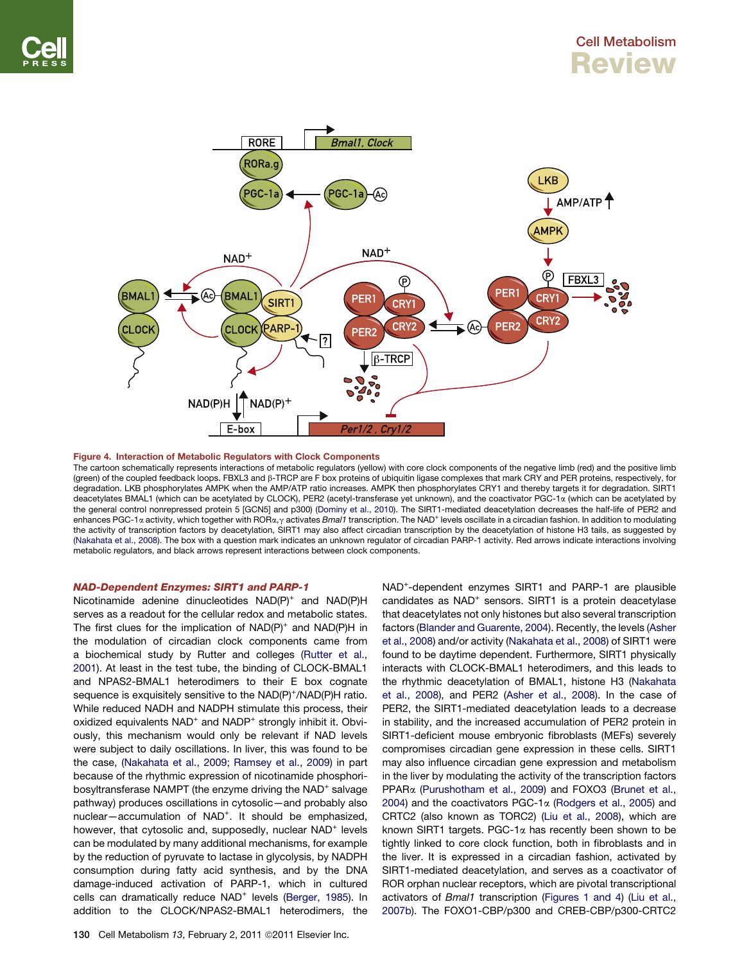<span id="page-5-0"></span>

Figure 4. Interaction of Metabolic Regulators with Clock Components

The cartoon schematically represents interactions of metabolic regulators (yellow) with core clock components of the negative limb (red) and the positive limb (green) of the coupled feedback loops. FBXL3 and  $\beta$ -TRCP are F box proteins of ubiquitin ligase complexes that mark CRY and PER proteins, respectively, for degradation. LKB phosphorylates AMPK when the AMP/ATP ratio increases. AMPK then phosphorylates CRY1 and thereby targets it for degradation. SIRT1 deacetylates BMAL1 (which can be acetylated by CLOCK), PER2 (acetyl-transferase yet unknown), and the coactivator PGC-1a (which can be acetylated by the general control nonrepressed protein 5 [GCN5] and p300) [\(Dominy et al., 2010\)](#page-10-0). The SIRT1-mediated deacetylation decreases the half-life of PER2 and enhances PGC-1a activity, which together with RORa, y activates *Bmal1* transcription. The NAD<sup>+</sup> levels oscillate in a circadian fashion. In addition to modulating the activity of transcription factors by deacetylation, SIRT1 may also affect circadian transcription by the deacetylation of histone H3 tails, as suggested by ([Nakahata et al., 2008](#page-11-0)). The box with a question mark indicates an unknown regulator of circadian PARP-1 activity. Red arrows indicate interactions involving metabolic regulators, and black arrows represent interactions between clock components.

### NAD-Dependent Enzymes: SIRT1 and PARP-1

Nicotinamide adenine dinucleotides NAD(P)<sup>+</sup> and NAD(P)H serves as a readout for the cellular redox and metabolic states. The first clues for the implication of  $NAD(P)^+$  and  $NAD(P)H$  in the modulation of circadian clock components came from a biochemical study by Rutter and colleges ([Rutter et al.,](#page-11-0) [2001](#page-11-0)). At least in the test tube, the binding of CLOCK-BMAL1 and NPAS2-BMAL1 heterodimers to their E box cognate sequence is exquisitely sensitive to the NAD(P)<sup>+</sup>/NAD(P)H ratio. While reduced NADH and NADPH stimulate this process, their oxidized equivalents  $NAD<sup>+</sup>$  and  $NADP<sup>+</sup>$  strongly inhibit it. Obviously, this mechanism would only be relevant if NAD levels were subject to daily oscillations. In liver, this was found to be the case, [\(Nakahata et al., 2009; Ramsey et al., 2009](#page-11-0)) in part because of the rhythmic expression of nicotinamide phosphoribosyltransferase NAMPT (the enzyme driving the NAD<sup>+</sup> salvage pathway) produces oscillations in cytosolic—and probably also nuclear-accumulation of NAD<sup>+</sup>. It should be emphasized, however, that cytosolic and, supposedly, nuclear NAD<sup>+</sup> levels can be modulated by many additional mechanisms, for example by the reduction of pyruvate to lactase in glycolysis, by NADPH consumption during fatty acid synthesis, and by the DNA damage-induced activation of PARP-1, which in cultured cells can dramatically reduce NAD<sup>+</sup> levels ([Berger, 1985](#page-9-0)). In addition to the CLOCK/NPAS2-BMAL1 heterodimers, the

NAD<sup>+</sup>-dependent enzymes SIRT1 and PARP-1 are plausible candidates as NAD<sup>+</sup> sensors. SIRT1 is a protein deacetylase that deacetylates not only histones but also several transcription factors ([Blander and Guarente, 2004\)](#page-9-0). Recently, the levels [\(Asher](#page-9-0) [et al., 2008\)](#page-9-0) and/or activity ([Nakahata et al., 2008\)](#page-11-0) of SIRT1 were found to be daytime dependent. Furthermore, SIRT1 physically interacts with CLOCK-BMAL1 heterodimers, and this leads to the rhythmic deacetylation of BMAL1, histone H3 ([Nakahata](#page-11-0) [et al., 2008\)](#page-11-0), and PER2 ([Asher et al., 2008\)](#page-9-0). In the case of PER2, the SIRT1-mediated deacetylation leads to a decrease in stability, and the increased accumulation of PER2 protein in SIRT1-deficient mouse embryonic fibroblasts (MEFs) severely compromises circadian gene expression in these cells. SIRT1 may also influence circadian gene expression and metabolism in the liver by modulating the activity of the transcription factors PPAR<sub>a</sub> ([Purushotham et al., 2009](#page-11-0)) and FOXO3 [\(Brunet et al.,](#page-9-0) [2004\)](#page-9-0) and the coactivators PGC-1 $\alpha$  [\(Rodgers et al., 2005](#page-11-0)) and CRTC2 (also known as TORC2) [\(Liu et al., 2008](#page-10-0)), which are known SIRT1 targets. PGC-1 $\alpha$  has recently been shown to be tightly linked to core clock function, both in fibroblasts and in the liver. It is expressed in a circadian fashion, activated by SIRT1-mediated deacetylation, and serves as a coactivator of ROR orphan nuclear receptors, which are pivotal transcriptional activators of *Bmal1* transcription ([Figures 1 and 4](#page-1-0)) [\(Liu et al.,](#page-10-0) [2007b\)](#page-10-0). The FOXO1-CBP/p300 and CREB-CBP/p300-CRTC2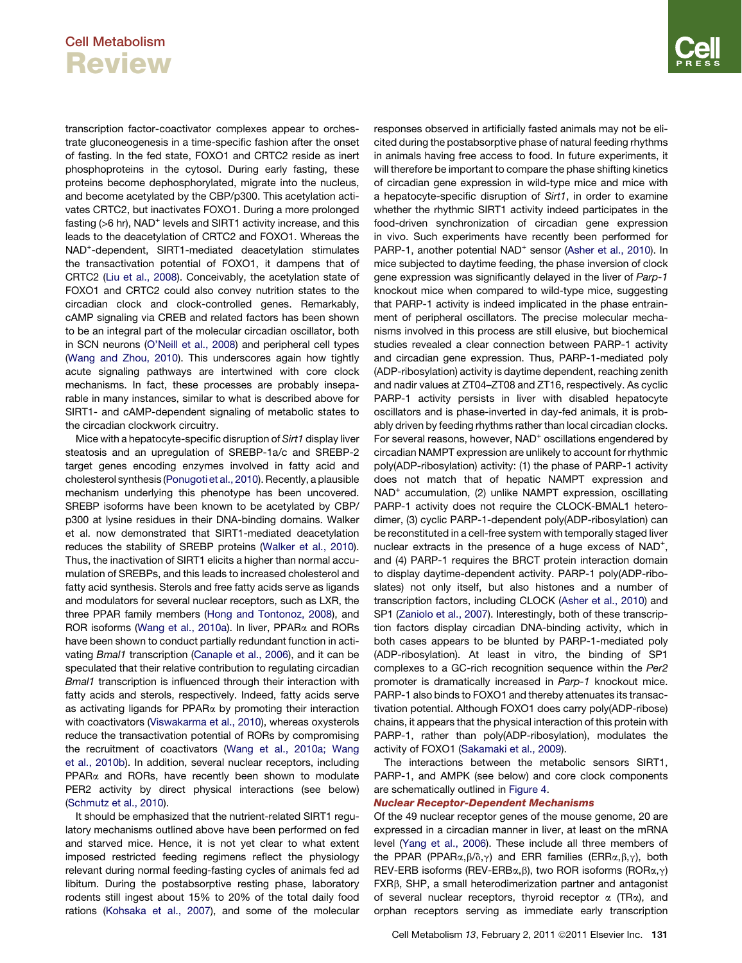transcription factor-coactivator complexes appear to orchestrate gluconeogenesis in a time-specific fashion after the onset of fasting. In the fed state, FOXO1 and CRTC2 reside as inert phosphoproteins in the cytosol. During early fasting, these proteins become dephosphorylated, migrate into the nucleus, and become acetylated by the CBP/p300. This acetylation activates CRTC2, but inactivates FOXO1. During a more prolonged fasting  $(>6$  hr), NAD<sup>+</sup> levels and SIRT1 activity increase, and this leads to the deacetylation of CRTC2 and FOXO1. Whereas the NAD<sup>+</sup>-dependent, SIRT1-mediated deacetylation stimulates the transactivation potential of FOXO1, it dampens that of CRTC2 ([Liu et al., 2008\)](#page-10-0). Conceivably, the acetylation state of FOXO1 and CRTC2 could also convey nutrition states to the circadian clock and clock-controlled genes. Remarkably, cAMP signaling via CREB and related factors has been shown to be an integral part of the molecular circadian oscillator, both in SCN neurons ([O'Neill et al., 2008](#page-11-0)) and peripheral cell types [\(Wang and Zhou, 2010\)](#page-11-0). This underscores again how tightly acute signaling pathways are intertwined with core clock mechanisms. In fact, these processes are probably inseparable in many instances, similar to what is described above for SIRT1- and cAMP-dependent signaling of metabolic states to the circadian clockwork circuitry.

Mice with a hepatocyte-specific disruption of *Sirt1* display liver steatosis and an upregulation of SREBP-1a/c and SREBP-2 target genes encoding enzymes involved in fatty acid and cholesterol synthesis ([Ponugoti et al., 2010\)](#page-11-0). Recently, a plausible mechanism underlying this phenotype has been uncovered. SREBP isoforms have been known to be acetylated by CBP/ p300 at lysine residues in their DNA-binding domains. Walker et al. now demonstrated that SIRT1-mediated deacetylation reduces the stability of SREBP proteins ([Walker et al., 2010\)](#page-11-0). Thus, the inactivation of SIRT1 elicits a higher than normal accumulation of SREBPs, and this leads to increased cholesterol and fatty acid synthesis. Sterols and free fatty acids serve as ligands and modulators for several nuclear receptors, such as LXR, the three PPAR family members [\(Hong and Tontonoz, 2008\)](#page-10-0), and ROR isoforms ([Wang et al., 2010a](#page-12-0)). In liver, PPARα and RORs have been shown to conduct partially redundant function in activating *Bmal1* transcription ([Canaple et al., 2006](#page-9-0)), and it can be speculated that their relative contribution to regulating circadian *Bmal1* transcription is influenced through their interaction with fatty acids and sterols, respectively. Indeed, fatty acids serve as activating ligands for PPARa by promoting their interaction with coactivators [\(Viswakarma et al., 2010](#page-11-0)), whereas oxysterols reduce the transactivation potential of RORs by compromising the recruitment of coactivators [\(Wang et al., 2010a; Wang](#page-12-0) [et al., 2010b\)](#page-12-0). In addition, several nuclear receptors, including  $PPAR\alpha$  and RORs, have recently been shown to modulate PER2 activity by direct physical interactions (see below) [\(Schmutz et al., 2010\)](#page-11-0).

It should be emphasized that the nutrient-related SIRT1 regulatory mechanisms outlined above have been performed on fed and starved mice. Hence, it is not yet clear to what extent imposed restricted feeding regimens reflect the physiology relevant during normal feeding-fasting cycles of animals fed ad libitum. During the postabsorptive resting phase, laboratory rodents still ingest about 15% to 20% of the total daily food rations ([Kohsaka et al., 2007](#page-10-0)), and some of the molecular responses observed in artificially fasted animals may not be elicited during the postabsorptive phase of natural feeding rhythms in animals having free access to food. In future experiments, it will therefore be important to compare the phase shifting kinetics of circadian gene expression in wild-type mice and mice with a hepatocyte-specific disruption of *Sirt1*, in order to examine whether the rhythmic SIRT1 activity indeed participates in the food-driven synchronization of circadian gene expression in vivo. Such experiments have recently been performed for PARP-1, another potential NAD<sup>+</sup> sensor [\(Asher et al., 2010\)](#page-9-0). In mice subjected to daytime feeding, the phase inversion of clock gene expression was significantly delayed in the liver of *Parp-1* knockout mice when compared to wild-type mice, suggesting that PARP-1 activity is indeed implicated in the phase entrainment of peripheral oscillators. The precise molecular mechanisms involved in this process are still elusive, but biochemical studies revealed a clear connection between PARP-1 activity and circadian gene expression. Thus, PARP-1-mediated poly (ADP-ribosylation) activity is daytime dependent, reaching zenith and nadir values at ZT04–ZT08 and ZT16, respectively. As cyclic PARP-1 activity persists in liver with disabled hepatocyte oscillators and is phase-inverted in day-fed animals, it is probably driven by feeding rhythms rather than local circadian clocks. For several reasons, however, NAD<sup>+</sup> oscillations engendered by circadian NAMPT expression are unlikely to account for rhythmic poly(ADP-ribosylation) activity: (1) the phase of PARP-1 activity does not match that of hepatic NAMPT expression and NAD<sup>+</sup> accumulation, (2) unlike NAMPT expression, oscillating PARP-1 activity does not require the CLOCK-BMAL1 heterodimer, (3) cyclic PARP-1-dependent poly(ADP-ribosylation) can be reconstituted in a cell-free system with temporally staged liver nuclear extracts in the presence of a huge excess of NAD<sup>+</sup>, and (4) PARP-1 requires the BRCT protein interaction domain to display daytime-dependent activity. PARP-1 poly(ADP-riboslates) not only itself, but also histones and a number of transcription factors, including CLOCK ([Asher et al., 2010\)](#page-9-0) and SP1 [\(Zaniolo et al., 2007\)](#page-12-0). Interestingly, both of these transcription factors display circadian DNA-binding activity, which in both cases appears to be blunted by PARP-1-mediated poly (ADP-ribosylation). At least in vitro, the binding of SP1 complexes to a GC-rich recognition sequence within the *Per2* promoter is dramatically increased in *Parp-1* knockout mice. PARP-1 also binds to FOXO1 and thereby attenuates its transactivation potential. Although FOXO1 does carry poly(ADP-ribose) chains, it appears that the physical interaction of this protein with PARP-1, rather than poly(ADP-ribosylation), modulates the activity of FOXO1 [\(Sakamaki et al., 2009](#page-11-0)).

The interactions between the metabolic sensors SIRT1, PARP-1, and AMPK (see below) and core clock components are schematically outlined in [Figure 4.](#page-5-0)

#### Nuclear Receptor-Dependent Mechanisms

Of the 49 nuclear receptor genes of the mouse genome, 20 are expressed in a circadian manner in liver, at least on the mRNA level [\(Yang et al., 2006](#page-12-0)). These include all three members of the PPAR (PPAR $\alpha, \beta, \delta, \gamma$ ) and ERR families (ERR $\alpha, \beta, \gamma$ ), both REV-ERB isoforms (REV-ERB $\alpha$ , $\beta$ ), two ROR isoforms (ROR $\alpha$ , $\gamma$ ) FXRb, SHP, a small heterodimerization partner and antagonist of several nuclear receptors, thyroid receptor  $\alpha$  (TR $\alpha$ ), and orphan receptors serving as immediate early transcription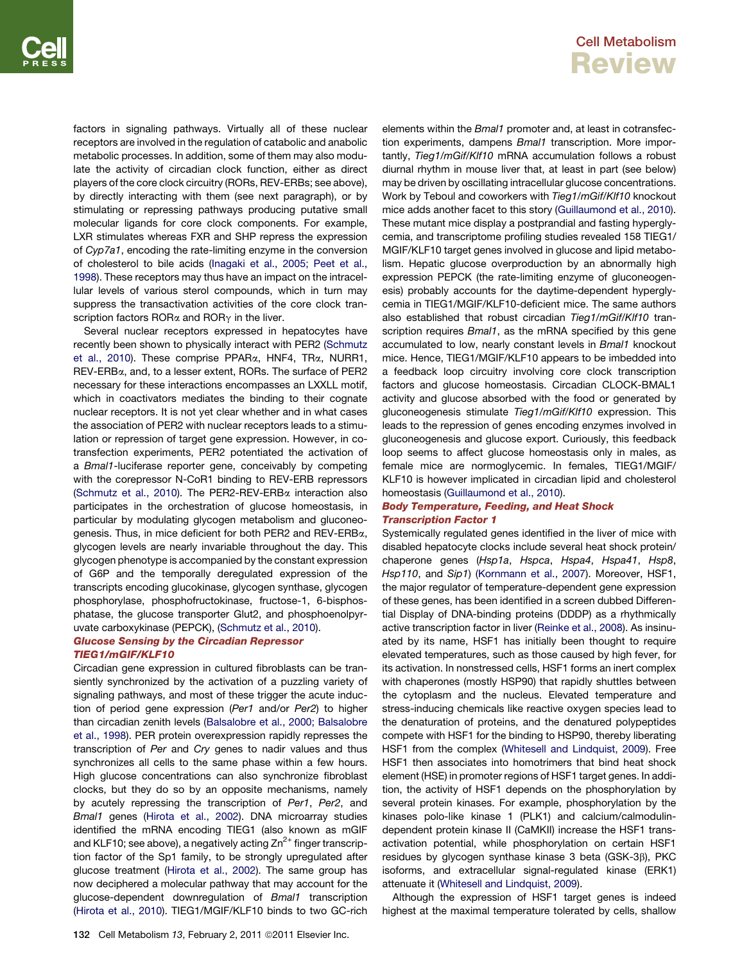factors in signaling pathways. Virtually all of these nuclear receptors are involved in the regulation of catabolic and anabolic metabolic processes. In addition, some of them may also modulate the activity of circadian clock function, either as direct players of the core clock circuitry (RORs, REV-ERBs; see above), by directly interacting with them (see next paragraph), or by stimulating or repressing pathways producing putative small molecular ligands for core clock components. For example, LXR stimulates whereas FXR and SHP repress the expression of *Cyp7a1*, encoding the rate-limiting enzyme in the conversion of cholesterol to bile acids [\(Inagaki et al., 2005; Peet et al.,](#page-10-0) [1998](#page-10-0)). These receptors may thus have an impact on the intracellular levels of various sterol compounds, which in turn may suppress the transactivation activities of the core clock transcription factors ROR $\alpha$  and ROR $\gamma$  in the liver.

Several nuclear receptors expressed in hepatocytes have recently been shown to physically interact with PER2 [\(Schmutz](#page-11-0) [et al., 2010](#page-11-0)). These comprise PPARa, HNF4, TRa, NURR1, REV-ERBa, and, to a lesser extent, RORs. The surface of PER2 necessary for these interactions encompasses an LXXLL motif, which in coactivators mediates the binding to their cognate nuclear receptors. It is not yet clear whether and in what cases the association of PER2 with nuclear receptors leads to a stimulation or repression of target gene expression. However, in cotransfection experiments, PER2 potentiated the activation of a *Bmal1*-luciferase reporter gene, conceivably by competing with the corepressor N-CoR1 binding to REV-ERB repressors ([Schmutz et al., 2010\)](#page-11-0). The PER2-REV-ERBa interaction also participates in the orchestration of glucose homeostasis, in particular by modulating glycogen metabolism and gluconeogenesis. Thus, in mice deficient for both PER2 and REV-ERBa, glycogen levels are nearly invariable throughout the day. This glycogen phenotype is accompanied by the constant expression of G6P and the temporally deregulated expression of the transcripts encoding glucokinase, glycogen synthase, glycogen phosphorylase, phosphofructokinase, fructose-1, 6-bisphosphatase, the glucose transporter Glut2, and phosphoenolpyruvate carboxykinase (PEPCK), [\(Schmutz et al., 2010](#page-11-0)).

### Glucose Sensing by the Circadian Repressor TIEG1/mGIF/KLF10

Circadian gene expression in cultured fibroblasts can be transiently synchronized by the activation of a puzzling variety of signaling pathways, and most of these trigger the acute induction of period gene expression (*Per1* and/or *Per2*) to higher than circadian zenith levels ([Balsalobre et al., 2000; Balsalobre](#page-9-0) [et al., 1998](#page-9-0)). PER protein overexpression rapidly represses the transcription of *Per* and *Cry* genes to nadir values and thus synchronizes all cells to the same phase within a few hours. High glucose concentrations can also synchronize fibroblast clocks, but they do so by an opposite mechanisms, namely by acutely repressing the transcription of *Per1*, *Per2*, and *Bmal1* genes ([Hirota et al., 2002](#page-10-0)). DNA microarray studies identified the mRNA encoding TIEG1 (also known as mGIF and KLF10; see above), a negatively acting  $Zn^{2+}$  finger transcription factor of the Sp1 family, to be strongly upregulated after glucose treatment ([Hirota et al., 2002\)](#page-10-0). The same group has now deciphered a molecular pathway that may account for the glucose-dependent downregulation of *Bmal1* transcription ([Hirota et al., 2010\)](#page-10-0). TIEG1/MGIF/KLF10 binds to two GC-rich

elements within the *Bmal1* promoter and, at least in cotransfection experiments, dampens *Bmal1* transcription. More importantly, *Tieg1*/*mGif*/*Klf10* mRNA accumulation follows a robust diurnal rhythm in mouse liver that, at least in part (see below) may be driven by oscillating intracellular glucose concentrations. Work by Teboul and coworkers with *Tieg1*/*mGif*/*Klf10* knockout mice adds another facet to this story ([Guillaumond et al., 2010](#page-10-0)). These mutant mice display a postprandial and fasting hyperglycemia, and transcriptome profiling studies revealed 158 TIEG1/ MGIF/KLF10 target genes involved in glucose and lipid metabolism. Hepatic glucose overproduction by an abnormally high expression PEPCK (the rate-limiting enzyme of gluconeogenesis) probably accounts for the daytime-dependent hyperglycemia in TIEG1/MGIF/KLF10-deficient mice. The same authors also established that robust circadian *Tieg1/mGif/Klf10* transcription requires *Bmal1*, as the mRNA specified by this gene accumulated to low, nearly constant levels in *Bmal1* knockout mice. Hence, TIEG1/MGIF/KLF10 appears to be imbedded into a feedback loop circuitry involving core clock transcription factors and glucose homeostasis. Circadian CLOCK-BMAL1 activity and glucose absorbed with the food or generated by gluconeogenesis stimulate *Tieg1*/*mGif*/*Klf10* expression. This leads to the repression of genes encoding enzymes involved in gluconeogenesis and glucose export. Curiously, this feedback loop seems to affect glucose homeostasis only in males, as female mice are normoglycemic. In females, TIEG1/MGIF/ KLF10 is however implicated in circadian lipid and cholesterol homeostasis [\(Guillaumond et al., 2010](#page-10-0)).

### Body Temperature, Feeding, and Heat Shock Transcription Factor 1

Systemically regulated genes identified in the liver of mice with disabled hepatocyte clocks include several heat shock protein/ chaperone genes (*Hsp1a*, *Hspca*, *Hspa4*, *Hspa41*, *Hsp8*, *Hsp110*, and *Sip1*) ([Kornmann et al., 2007](#page-10-0)). Moreover, HSF1, the major regulator of temperature-dependent gene expression of these genes, has been identified in a screen dubbed Differential Display of DNA-binding proteins (DDDP) as a rhythmically active transcription factor in liver ([Reinke et al., 2008](#page-11-0)). As insinuated by its name, HSF1 has initially been thought to require elevated temperatures, such as those caused by high fever, for its activation. In nonstressed cells, HSF1 forms an inert complex with chaperones (mostly HSP90) that rapidly shuttles between the cytoplasm and the nucleus. Elevated temperature and stress-inducing chemicals like reactive oxygen species lead to the denaturation of proteins, and the denatured polypeptides compete with HSF1 for the binding to HSP90, thereby liberating HSF1 from the complex [\(Whitesell and Lindquist, 2009\)](#page-12-0). Free HSF1 then associates into homotrimers that bind heat shock element (HSE) in promoter regions of HSF1 target genes. In addition, the activity of HSF1 depends on the phosphorylation by several protein kinases. For example, phosphorylation by the kinases polo-like kinase 1 (PLK1) and calcium/calmodulindependent protein kinase II (CaMKII) increase the HSF1 transactivation potential, while phosphorylation on certain HSF1 residues by glycogen synthase kinase 3 beta (GSK-3b), PKC isoforms, and extracellular signal-regulated kinase (ERK1) attenuate it ([Whitesell and Lindquist, 2009](#page-12-0)).

Although the expression of HSF1 target genes is indeed highest at the maximal temperature tolerated by cells, shallow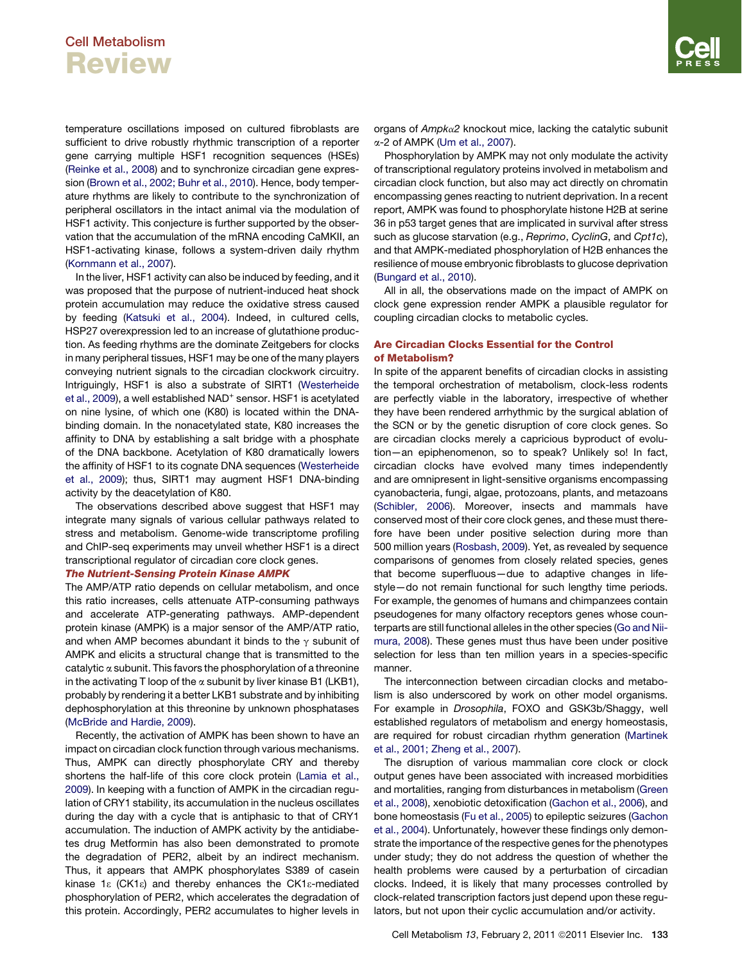temperature oscillations imposed on cultured fibroblasts are sufficient to drive robustly rhythmic transcription of a reporter gene carrying multiple HSF1 recognition sequences (HSEs) [\(Reinke et al., 2008\)](#page-11-0) and to synchronize circadian gene expression ([Brown et al., 2002; Buhr et al., 2010\)](#page-9-0). Hence, body temperature rhythms are likely to contribute to the synchronization of peripheral oscillators in the intact animal via the modulation of HSF1 activity. This conjecture is further supported by the observation that the accumulation of the mRNA encoding CaMKII, an HSF1-activating kinase, follows a system-driven daily rhythm [\(Kornmann et al., 2007\)](#page-10-0).

In the liver, HSF1 activity can also be induced by feeding, and it was proposed that the purpose of nutrient-induced heat shock protein accumulation may reduce the oxidative stress caused by feeding ([Katsuki et al., 2004](#page-10-0)). Indeed, in cultured cells, HSP27 overexpression led to an increase of glutathione production. As feeding rhythms are the dominate Zeitgebers for clocks in many peripheral tissues, HSF1 may be one of the many players conveying nutrient signals to the circadian clockwork circuitry. Intriguingly, HSF1 is also a substrate of SIRT1 ([Westerheide](#page-12-0) [et al., 2009](#page-12-0)), a well established NAD<sup>+</sup> sensor. HSF1 is acetylated on nine lysine, of which one (K80) is located within the DNAbinding domain. In the nonacetylated state, K80 increases the affinity to DNA by establishing a salt bridge with a phosphate of the DNA backbone. Acetylation of K80 dramatically lowers the affinity of HSF1 to its cognate DNA sequences ([Westerheide](#page-12-0) [et al., 2009](#page-12-0)); thus, SIRT1 may augment HSF1 DNA-binding activity by the deacetylation of K80.

The observations described above suggest that HSF1 may integrate many signals of various cellular pathways related to stress and metabolism. Genome-wide transcriptome profiling and ChIP-seq experiments may unveil whether HSF1 is a direct transcriptional regulator of circadian core clock genes.

#### The Nutrient-Sensing Protein Kinase AMPK

The AMP/ATP ratio depends on cellular metabolism, and once this ratio increases, cells attenuate ATP-consuming pathways and accelerate ATP-generating pathways. AMP-dependent protein kinase (AMPK) is a major sensor of the AMP/ATP ratio, and when AMP becomes abundant it binds to the  $\gamma$  subunit of AMPK and elicits a structural change that is transmitted to the catalytic  $\alpha$  subunit. This favors the phosphorylation of a threonine in the activating T loop of the  $\alpha$  subunit by liver kinase B1 (LKB1), probably by rendering it a better LKB1 substrate and by inhibiting dephosphorylation at this threonine by unknown phosphatases [\(McBride and Hardie, 2009\)](#page-11-0).

Recently, the activation of AMPK has been shown to have an impact on circadian clock function through various mechanisms. Thus, AMPK can directly phosphorylate CRY and thereby shortens the half-life of this core clock protein ([Lamia et al.,](#page-10-0) [2009\)](#page-10-0). In keeping with a function of AMPK in the circadian regulation of CRY1 stability, its accumulation in the nucleus oscillates during the day with a cycle that is antiphasic to that of CRY1 accumulation. The induction of AMPK activity by the antidiabetes drug Metformin has also been demonstrated to promote the degradation of PER2, albeit by an indirect mechanism. Thus, it appears that AMPK phosphorylates S389 of casein kinase 1 $\epsilon$  (CK1 $\epsilon$ ) and thereby enhances the CK1 $\epsilon$ -mediated phosphorylation of PER2, which accelerates the degradation of this protein. Accordingly, PER2 accumulates to higher levels in organs of *Ampk*a*2* knockout mice, lacking the catalytic subunit  $\alpha$ -2 of AMPK ([Um et al., 2007](#page-11-0)).

Phosphorylation by AMPK may not only modulate the activity of transcriptional regulatory proteins involved in metabolism and circadian clock function, but also may act directly on chromatin encompassing genes reacting to nutrient deprivation. In a recent report, AMPK was found to phosphorylate histone H2B at serine 36 in p53 target genes that are implicated in survival after stress such as glucose starvation (e.g., *Reprimo*, *CyclinG*, and *Cpt1c*), and that AMPK-mediated phosphorylation of H2B enhances the resilience of mouse embryonic fibroblasts to glucose deprivation [\(Bungard et al., 2010](#page-9-0)).

All in all, the observations made on the impact of AMPK on clock gene expression render AMPK a plausible regulator for coupling circadian clocks to metabolic cycles.

### Are Circadian Clocks Essential for the Control of Metabolism?

In spite of the apparent benefits of circadian clocks in assisting the temporal orchestration of metabolism, clock-less rodents are perfectly viable in the laboratory, irrespective of whether they have been rendered arrhythmic by the surgical ablation of the SCN or by the genetic disruption of core clock genes. So are circadian clocks merely a capricious byproduct of evolution—an epiphenomenon, so to speak? Unlikely so! In fact, circadian clocks have evolved many times independently and are omnipresent in light-sensitive organisms encompassing cyanobacteria, fungi, algae, protozoans, plants, and metazoans [\(Schibler, 2006\)](#page-11-0). Moreover, insects and mammals have conserved most of their core clock genes, and these must therefore have been under positive selection during more than 500 million years ([Rosbash, 2009\)](#page-11-0). Yet, as revealed by sequence comparisons of genomes from closely related species, genes that become superfluous—due to adaptive changes in lifestyle—do not remain functional for such lengthy time periods. For example, the genomes of humans and chimpanzees contain pseudogenes for many olfactory receptors genes whose counterparts are still functional alleles in the other species ([Go and Nii](#page-10-0)[mura, 2008](#page-10-0)). These genes must thus have been under positive selection for less than ten million years in a species-specific manner.

The interconnection between circadian clocks and metabolism is also underscored by work on other model organisms. For example in *Drosophila*, FOXO and GSK3b/Shaggy, well established regulators of metabolism and energy homeostasis, are required for robust circadian rhythm generation [\(Martinek](#page-10-0) et [al., 2001; Zheng et al., 2007](#page-10-0)).

The disruption of various mammalian core clock or clock output genes have been associated with increased morbidities and mortalities, ranging from disturbances in metabolism [\(Green](#page-10-0) [et al., 2008\)](#page-10-0), xenobiotic detoxification ([Gachon et al., 2006](#page-10-0)), and bone homeostasis ([Fu et al., 2005](#page-10-0)) to epileptic seizures [\(Gachon](#page-10-0) [et al., 2004](#page-10-0)). Unfortunately, however these findings only demonstrate the importance of the respective genes for the phenotypes under study; they do not address the question of whether the health problems were caused by a perturbation of circadian clocks. Indeed, it is likely that many processes controlled by clock-related transcription factors just depend upon these regulators, but not upon their cyclic accumulation and/or activity.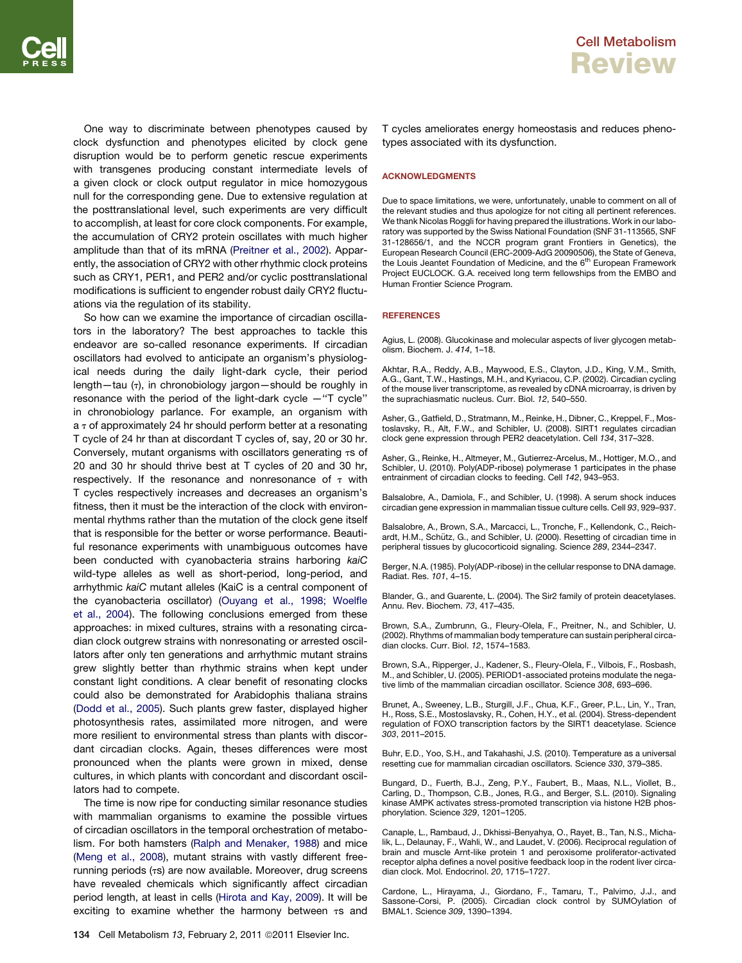<span id="page-9-0"></span>One way to discriminate between phenotypes caused by clock dysfunction and phenotypes elicited by clock gene disruption would be to perform genetic rescue experiments with transgenes producing constant intermediate levels of a given clock or clock output regulator in mice homozygous null for the corresponding gene. Due to extensive regulation at the posttranslational level, such experiments are very difficult to accomplish, at least for core clock components. For example, the accumulation of CRY2 protein oscillates with much higher amplitude than that of its mRNA [\(Preitner et al., 2002](#page-11-0)). Apparently, the association of CRY2 with other rhythmic clock proteins such as CRY1, PER1, and PER2 and/or cyclic posttranslational modifications is sufficient to engender robust daily CRY2 fluctuations via the regulation of its stability.

So how can we examine the importance of circadian oscillators in the laboratory? The best approaches to tackle this endeavor are so-called resonance experiments. If circadian oscillators had evolved to anticipate an organism's physiological needs during the daily light-dark cycle, their period length—tau  $(\tau)$ , in chronobiology jargon—should be roughly in resonance with the period of the light-dark cycle  $-$  "T cycle" in chronobiology parlance. For example, an organism with  $a \tau$  of approximately 24 hr should perform better at a resonating T cycle of 24 hr than at discordant T cycles of, say, 20 or 30 hr. Conversely, mutant organisms with oscillators generating  $\tau s$  of 20 and 30 hr should thrive best at T cycles of 20 and 30 hr, respectively. If the resonance and nonresonance of  $\tau$  with T cycles respectively increases and decreases an organism's fitness, then it must be the interaction of the clock with environmental rhythms rather than the mutation of the clock gene itself that is responsible for the better or worse performance. Beautiful resonance experiments with unambiguous outcomes have been conducted with cyanobacteria strains harboring *kaiC* wild-type alleles as well as short-period, long-period, and arrhythmic *kaiC* mutant alleles (KaiC is a central component of the cyanobacteria oscillator) [\(Ouyang et al., 1998; Woelfle](#page-11-0) [et al., 2004](#page-11-0)). The following conclusions emerged from these approaches: in mixed cultures, strains with a resonating circadian clock outgrew strains with nonresonating or arrested oscillators after only ten generations and arrhythmic mutant strains grew slightly better than rhythmic strains when kept under constant light conditions. A clear benefit of resonating clocks could also be demonstrated for Arabidophis thaliana strains ([Dodd et al., 2005\)](#page-10-0). Such plants grew faster, displayed higher photosynthesis rates, assimilated more nitrogen, and were more resilient to environmental stress than plants with discordant circadian clocks. Again, theses differences were most pronounced when the plants were grown in mixed, dense cultures, in which plants with concordant and discordant oscillators had to compete.

The time is now ripe for conducting similar resonance studies with mammalian organisms to examine the possible virtues of circadian oscillators in the temporal orchestration of metabolism. For both hamsters [\(Ralph and Menaker, 1988\)](#page-11-0) and mice ([Meng et al., 2008\)](#page-11-0), mutant strains with vastly different freerunning periods (<sub>TS</sub>) are now available. Moreover, drug screens have revealed chemicals which significantly affect circadian period length, at least in cells ([Hirota and Kay, 2009](#page-10-0)). It will be exciting to examine whether the harmony between  $\tau s$  and T cycles ameliorates energy homeostasis and reduces phenotypes associated with its dysfunction.

#### ACKNOWLEDGMENTS

Due to space limitations, we were, unfortunately, unable to comment on all of the relevant studies and thus apologize for not citing all pertinent references. We thank Nicolas Roggli for having prepared the illustrations. Work in our laboratory was supported by the Swiss National Foundation (SNF 31-113565, SNF 31-128656/1, and the NCCR program grant Frontiers in Genetics), the European Research Council (ERC-2009-AdG 20090506), the State of Geneva, the Louis Jeantet Foundation of Medicine, and the 6<sup>th</sup> European Framework Project EUCLOCK. G.A. received long term fellowships from the EMBO and Human Frontier Science Program.

### **REFERENCES**

Agius, L. (2008). Glucokinase and molecular aspects of liver glycogen metabolism. Biochem. J. *414*, 1–18.

Akhtar, R.A., Reddy, A.B., Maywood, E.S., Clayton, J.D., King, V.M., Smith, A.G., Gant, T.W., Hastings, M.H., and Kyriacou, C.P. (2002). Circadian cycling of the mouse liver transcriptome, as revealed by cDNA microarray, is driven by the suprachiasmatic nucleus. Curr. Biol. *12*, 540–550.

Asher, G., Gatfield, D., Stratmann, M., Reinke, H., Dibner, C., Kreppel, F., Mostoslavsky, R., Alt, F.W., and Schibler, U. (2008). SIRT1 regulates circadian clock gene expression through PER2 deacetylation. Cell *134*, 317–328.

Asher, G., Reinke, H., Altmeyer, M., Gutierrez-Arcelus, M., Hottiger, M.O., and Schibler, U. (2010). Poly(ADP-ribose) polymerase 1 participates in the phase entrainment of circadian clocks to feeding. Cell *142*, 943–953.

Balsalobre, A., Damiola, F., and Schibler, U. (1998). A serum shock induces circadian gene expression in mammalian tissue culture cells. Cell *93*, 929–937.

Balsalobre, A., Brown, S.A., Marcacci, L., Tronche, F., Kellendonk, C., Reichardt, H.M., Schütz, G., and Schibler, U. (2000). Resetting of circadian time in peripheral tissues by glucocorticoid signaling. Science *289*, 2344–2347.

Berger, N.A. (1985). Poly(ADP-ribose) in the cellular response to DNA damage. Radiat. Res. *101*, 4–15.

Blander, G., and Guarente, L. (2004). The Sir2 family of protein deacetylases. Annu. Rev. Biochem. *73*, 417–435.

Brown, S.A., Zumbrunn, G., Fleury-Olela, F., Preitner, N., and Schibler, U. (2002). Rhythms of mammalian body temperature can sustain peripheral circadian clocks. Curr. Biol. *12*, 1574–1583.

Brown, S.A., Ripperger, J., Kadener, S., Fleury-Olela, F., Vilbois, F., Rosbash, M., and Schibler, U. (2005). PERIOD1-associated proteins modulate the negative limb of the mammalian circadian oscillator. Science *308*, 693–696.

Brunet, A., Sweeney, L.B., Sturgill, J.F., Chua, K.F., Greer, P.L., Lin, Y., Tran, H., Ross, S.E., Mostoslavsky, R., Cohen, H.Y., et al. (2004). Stress-dependent regulation of FOXO transcription factors by the SIRT1 deacetylase. Science *303*, 2011–2015.

Buhr, E.D., Yoo, S.H., and Takahashi, J.S. (2010). Temperature as a universal resetting cue for mammalian circadian oscillators. Science *330*, 379–385.

Bungard, D., Fuerth, B.J., Zeng, P.Y., Faubert, B., Maas, N.L., Viollet, B., Carling, D., Thompson, C.B., Jones, R.G., and Berger, S.L. (2010). Signaling kinase AMPK activates stress-promoted transcription via histone H2B phosphorylation. Science *329*, 1201–1205.

Canaple, L., Rambaud, J., Dkhissi-Benyahya, O., Rayet, B., Tan, N.S., Michalik, L., Delaunay, F., Wahli, W., and Laudet, V. (2006). Reciprocal regulation of brain and muscle Arnt-like protein 1 and peroxisome proliferator-activated receptor alpha defines a novel positive feedback loop in the rodent liver circadian clock. Mol. Endocrinol. *20*, 1715–1727.

Cardone, L., Hirayama, J., Giordano, F., Tamaru, T., Palvimo, J.J., and Sassone-Corsi, P. (2005). Circadian clock control by SUMOylation of BMAL1. Science *309*, 1390–1394.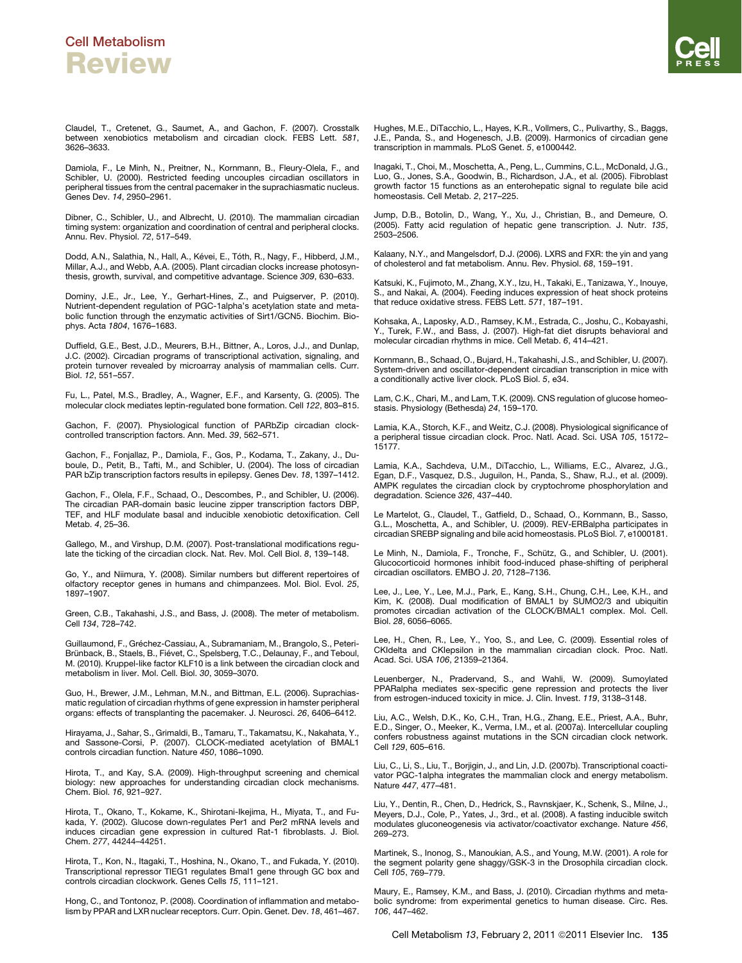<span id="page-10-0"></span>Claudel, T., Cretenet, G., Saumet, A., and Gachon, F. (2007). Crosstalk between xenobiotics metabolism and circadian clock. FEBS Lett. *581*, 3626–3633.

Damiola, F., Le Minh, N., Preitner, N., Kornmann, B., Fleury-Olela, F., and Schibler, U. (2000). Restricted feeding uncouples circadian oscillators in peripheral tissues from the central pacemaker in the suprachiasmatic nucleus. Genes Dev. *14*, 2950–2961.

Dibner, C., Schibler, U., and Albrecht, U. (2010). The mammalian circadian timing system: organization and coordination of central and peripheral clocks. Annu. Rev. Physiol. *72*, 517–549.

Dodd, A.N., Salathia, N., Hall, A., Kévei, E., Tóth, R., Nagy, F., Hibberd, J.M., Millar, A.J., and Webb, A.A. (2005). Plant circadian clocks increase photosynthesis, growth, survival, and competitive advantage. Science *309*, 630–633.

Dominy, J.E., Jr., Lee, Y., Gerhart-Hines, Z., and Puigserver, P. (2010). Nutrient-dependent regulation of PGC-1alpha's acetylation state and metabolic function through the enzymatic activities of Sirt1/GCN5. Biochim. Biophys. Acta *1804*, 1676–1683.

Duffield, G.E., Best, J.D., Meurers, B.H., Bittner, A., Loros, J.J., and Dunlap, J.C. (2002). Circadian programs of transcriptional activation, signaling, and protein turnover revealed by microarray analysis of mammalian cells. Curr. Biol. *12*, 551–557.

Fu, L., Patel, M.S., Bradley, A., Wagner, E.F., and Karsenty, G. (2005). The molecular clock mediates leptin-regulated bone formation. Cell *122*, 803–815.

Gachon, F. (2007). Physiological function of PARbZip circadian clockcontrolled transcription factors. Ann. Med. *39*, 562–571.

Gachon, F., Fonjallaz, P., Damiola, F., Gos, P., Kodama, T., Zakany, J., Du-boule, D., Petit, B., Tafti, M., and Schibler, U. (2004). The loss of circadian PAR bZip transcription factors results in epilepsy. Genes Dev. *18*, 1397–1412.

Gachon, F., Olela, F.F., Schaad, O., Descombes, P., and Schibler, U. (2006). The circadian PAR-domain basic leucine zipper transcription factors DBP, TEF, and HLF modulate basal and inducible xenobiotic detoxification. Cell Metab. *4*, 25–36.

Gallego, M., and Virshup, D.M. (2007). Post-translational modifications regulate the ticking of the circadian clock. Nat. Rev. Mol. Cell Biol. *8*, 139–148.

Go, Y., and Niimura, Y. (2008). Similar numbers but different repertoires of olfactory receptor genes in humans and chimpanzees. Mol. Biol. Evol. *25*, 1897–1907.

Green, C.B., Takahashi, J.S., and Bass, J. (2008). The meter of metabolism. Cell *134*, 728–742.

Guillaumond, F., Gréchez-Cassiau, A., Subramaniam, M., Brangolo, S., Peteri-Brünback, B., Staels, B., Fiévet, C., Spelsberg, T.C., Delaunay, F., and Teboul, M. (2010). Kruppel-like factor KLF10 is a link between the circadian clock and metabolism in liver. Mol. Cell. Biol. *30*, 3059–3070.

Guo, H., Brewer, J.M., Lehman, M.N., and Bittman, E.L. (2006). Suprachiasmatic regulation of circadian rhythms of gene expression in hamster peripheral organs: effects of transplanting the pacemaker. J. Neurosci. *26*, 6406–6412.

Hirayama, J., Sahar, S., Grimaldi, B., Tamaru, T., Takamatsu, K., Nakahata, Y., and Sassone-Corsi, P. (2007). CLOCK-mediated acetylation of BMAL1 controls circadian function. Nature *450*, 1086–1090.

Hirota, T., and Kay, S.A. (2009). High-throughput screening and chemical biology: new approaches for understanding circadian clock mechanisms. Chem. Biol. *16*, 921–927.

Hirota, T., Okano, T., Kokame, K., Shirotani-Ikejima, H., Miyata, T., and Fukada, Y. (2002). Glucose down-regulates Per1 and Per2 mRNA levels and induces circadian gene expression in cultured Rat-1 fibroblasts. J. Biol. Chem. *277*, 44244–44251.

Hirota, T., Kon, N., Itagaki, T., Hoshina, N., Okano, T., and Fukada, Y. (2010). Transcriptional repressor TIEG1 regulates Bmal1 gene through GC box and controls circadian clockwork. Genes Cells *15*, 111–121.

Hong, C., and Tontonoz, P. (2008). Coordination of inflammation and metabolism by PPAR and LXR nuclear receptors. Curr. Opin. Genet. Dev. *18*, 461–467. Hughes, M.E., DiTacchio, L., Hayes, K.R., Vollmers, C., Pulivarthy, S., Baggs, J.E., Panda, S., and Hogenesch, J.B. (2009). Harmonics of circadian gene transcription in mammals. PLoS Genet. *5*, e1000442.

Inagaki, T., Choi, M., Moschetta, A., Peng, L., Cummins, C.L., McDonald, J.G., Luo, G., Jones, S.A., Goodwin, B., Richardson, J.A., et al. (2005). Fibroblast growth factor 15 functions as an enterohepatic signal to regulate bile acid homeostasis. Cell Metab. *2*, 217–225.

Jump, D.B., Botolin, D., Wang, Y., Xu, J., Christian, B., and Demeure, O. (2005). Fatty acid regulation of hepatic gene transcription. J. Nutr. *135*, 2503–2506.

Kalaany, N.Y., and Mangelsdorf, D.J. (2006). LXRS and FXR: the yin and yang of cholesterol and fat metabolism. Annu. Rev. Physiol. *68*, 159–191.

Katsuki, K., Fujimoto, M., Zhang, X.Y., Izu, H., Takaki, E., Tanizawa, Y., Inouye, S., and Nakai, A. (2004). Feeding induces expression of heat shock proteins that reduce oxidative stress. FEBS Lett. *571*, 187–191.

Kohsaka, A., Laposky, A.D., Ramsey, K.M., Estrada, C., Joshu, C., Kobayashi, Y., Turek, F.W., and Bass, J. (2007). High-fat diet disrupts behavioral and molecular circadian rhythms in mice. Cell Metab. *6*, 414–421.

Kornmann, B., Schaad, O., Bujard, H., Takahashi, J.S., and Schibler, U. (2007). System-driven and oscillator-dependent circadian transcription in mice with a conditionally active liver clock. PLoS Biol. *5*, e34.

Lam, C.K., Chari, M., and Lam, T.K. (2009). CNS regulation of glucose homeostasis. Physiology (Bethesda) *24*, 159–170.

Lamia, K.A., Storch, K.F., and Weitz, C.J. (2008). Physiological significance of a peripheral tissue circadian clock. Proc. Natl. Acad. Sci. USA *105*, 15172– 15177.

Lamia, K.A., Sachdeva, U.M., DiTacchio, L., Williams, E.C., Alvarez, J.G., Egan, D.F., Vasquez, D.S., Juguilon, H., Panda, S., Shaw, R.J., et al. (2009). AMPK regulates the circadian clock by cryptochrome phosphorylation and degradation. Science *326*, 437–440.

Le Martelot, G., Claudel, T., Gatfield, D., Schaad, O., Kornmann, B., Sasso, G.L., Moschetta, A., and Schibler, U. (2009). REV-ERBalpha participates in circadian SREBP signaling and bile acid homeostasis. PLoS Biol. *7*, e1000181.

Le Minh, N., Damiola, F., Tronche, F., Schütz, G., and Schibler, U. (2001).<br>Glucocorticoid hormones inhibit food-induced phase-shifting of peripheral circadian oscillators. EMBO J. *20*, 7128–7136.

Lee, J., Lee, Y., Lee, M.J., Park, E., Kang, S.H., Chung, C.H., Lee, K.H., and Kim, K. (2008). Dual modification of BMAL1 by SUMO2/3 and ubiquitin promotes circadian activation of the CLOCK/BMAL1 complex. Mol. Cell. Biol. *28*, 6056–6065.

Lee, H., Chen, R., Lee, Y., Yoo, S., and Lee, C. (2009). Essential roles of CKIdelta and CKIepsilon in the mammalian circadian clock. Proc. Natl. Acad. Sci. USA *106*, 21359–21364.

Leuenberger, N., Pradervand, S., and Wahli, W. (2009). Sumoylated PPARalpha mediates sex-specific gene repression and protects the liver from estrogen-induced toxicity in mice. J. Clin. Invest. *119*, 3138–3148.

Liu, A.C., Welsh, D.K., Ko, C.H., Tran, H.G., Zhang, E.E., Priest, A.A., Buhr, E.D., Singer, O., Meeker, K., Verma, I.M., et al. (2007a). Intercellular coupling confers robustness against mutations in the SCN circadian clock network. Cell *129*, 605–616.

Liu, C., Li, S., Liu, T., Borjigin, J., and Lin, J.D. (2007b). Transcriptional coactivator PGC-1alpha integrates the mammalian clock and energy metabolism. Nature *447*, 477–481.

Liu, Y., Dentin, R., Chen, D., Hedrick, S., Ravnskjaer, K., Schenk, S., Milne, J., Meyers, D.J., Cole, P., Yates, J., 3rd., et al. (2008). A fasting inducible switch modulates gluconeogenesis via activator/coactivator exchange. Nature *456*, 269–273.

Martinek, S., Inonog, S., Manoukian, A.S., and Young, M.W. (2001). A role for the segment polarity gene shaggy/GSK-3 in the Drosophila circadian clock. Cell *105*, 769–779.

Maury, E., Ramsey, K.M., and Bass, J. (2010). Circadian rhythms and metabolic syndrome: from experimental genetics to human disease. Circ. Res. *106*, 447–462.

Cell Metabolism 13, February 2, 2011 @2011 Elsevier Inc. 135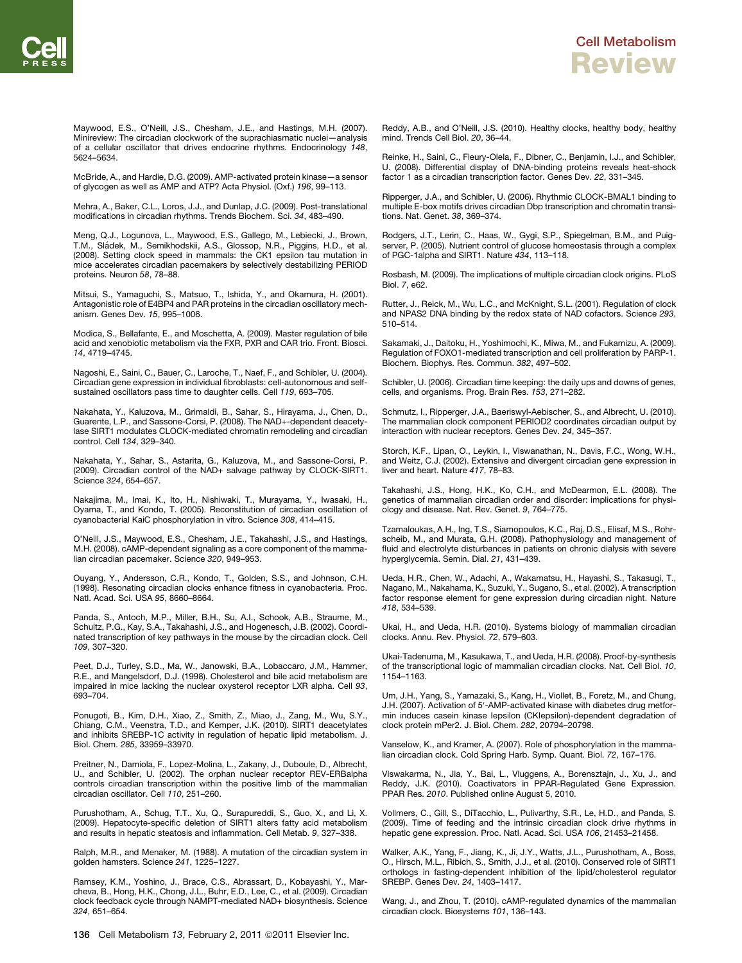<span id="page-11-0"></span>Maywood, E.S., O'Neill, J.S., Chesham, J.E., and Hastings, M.H. (2007). Minireview: The circadian clockwork of the suprachiasmatic nuclei—analysis of a cellular oscillator that drives endocrine rhythms. Endocrinology *148*, 5624–5634.

McBride, A., and Hardie, D.G. (2009). AMP-activated protein kinase—a sensor of glycogen as well as AMP and ATP? Acta Physiol. (Oxf.) *196*, 99–113.

Mehra, A., Baker, C.L., Loros, J.J., and Dunlap, J.C. (2009). Post-translational modifications in circadian rhythms. Trends Biochem. Sci. *34*, 483–490.

Meng, Q.J., Logunova, L., Maywood, E.S., Gallego, M., Lebiecki, J., Brown, T.M., Sládek, M., Semikhodskii, A.S., Glossop, N.R., Piggins, H.D., et al. (2008). Setting clock speed in mammals: the CK1 epsilon tau mutation in mice accelerates circadian pacemakers by selectively destabilizing PERIOD proteins. Neuron *58*, 78–88.

Mitsui, S., Yamaguchi, S., Matsuo, T., Ishida, Y., and Okamura, H. (2001). Antagonistic role of E4BP4 and PAR proteins in the circadian oscillatory mechanism. Genes Dev. *15*, 995–1006.

Modica, S., Bellafante, E., and Moschetta, A. (2009). Master regulation of bile acid and xenobiotic metabolism via the FXR, PXR and CAR trio. Front. Biosci. *14*, 4719–4745.

Nagoshi, E., Saini, C., Bauer, C., Laroche, T., Naef, F., and Schibler, U. (2004). Circadian gene expression in individual fibroblasts: cell-autonomous and selfsustained oscillators pass time to daughter cells. Cell *119*, 693–705.

Nakahata, Y., Kaluzova, M., Grimaldi, B., Sahar, S., Hirayama, J., Chen, D., Guarente, L.P., and Sassone-Corsi, P. (2008). The NAD+-dependent deacetylase SIRT1 modulates CLOCK-mediated chromatin remodeling and circadian control. Cell *134*, 329–340.

Nakahata, Y., Sahar, S., Astarita, G., Kaluzova, M., and Sassone-Corsi, P. (2009). Circadian control of the NAD+ salvage pathway by CLOCK-SIRT1. Science *324*, 654–657.

Nakajima, M., Imai, K., Ito, H., Nishiwaki, T., Murayama, Y., Iwasaki, H., Oyama, T., and Kondo, T. (2005). Reconstitution of circadian oscillation of cyanobacterial KaiC phosphorylation in vitro. Science *308*, 414–415.

O'Neill, J.S., Maywood, E.S., Chesham, J.E., Takahashi, J.S., and Hastings, M.H. (2008). cAMP-dependent signaling as a core component of the mammalian circadian pacemaker. Science *320*, 949–953.

Ouyang, Y., Andersson, C.R., Kondo, T., Golden, S.S., and Johnson, C.H. (1998). Resonating circadian clocks enhance fitness in cyanobacteria. Proc. Natl. Acad. Sci. USA *95*, 8660–8664.

Panda, S., Antoch, M.P., Miller, B.H., Su, A.I., Schook, A.B., Straume, M., Schultz, P.G., Kay, S.A., Takahashi, J.S., and Hogenesch, J.B. (2002). Coordinated transcription of key pathways in the mouse by the circadian clock. Cell *109*, 307–320.

Peet, D.J., Turley, S.D., Ma, W., Janowski, B.A., Lobaccaro, J.M., Hammer, R.E., and Mangelsdorf, D.J. (1998). Cholesterol and bile acid metabolism are impaired in mice lacking the nuclear oxysterol receptor LXR alpha. Cell *93*, 693–704.

Ponugoti, B., Kim, D.H., Xiao, Z., Smith, Z., Miao, J., Zang, M., Wu, S.Y., Chiang, C.M., Veenstra, T.D., and Kemper, J.K. (2010). SIRT1 deacetylates and inhibits SREBP-1C activity in regulation of hepatic lipid metabolism. J. Biol. Chem. *285*, 33959–33970.

Preitner, N., Damiola, F., Lopez-Molina, L., Zakany, J., Duboule, D., Albrecht, U., and Schibler, U. (2002). The orphan nuclear receptor REV-ERBalpha controls circadian transcription within the positive limb of the mammalian circadian oscillator. Cell *110*, 251–260.

Purushotham, A., Schug, T.T., Xu, Q., Surapureddi, S., Guo, X., and Li, X. (2009). Hepatocyte-specific deletion of SIRT1 alters fatty acid metabolism and results in hepatic steatosis and inflammation. Cell Metab. *9*, 327–338.

Ralph, M.R., and Menaker, M. (1988). A mutation of the circadian system in golden hamsters. Science *241*, 1225–1227.

Ramsey, K.M., Yoshino, J., Brace, C.S., Abrassart, D., Kobayashi, Y., Marcheva, B., Hong, H.K., Chong, J.L., Buhr, E.D., Lee, C., et al. (2009). Circadian clock feedback cycle through NAMPT-mediated NAD+ biosynthesis. Science *324*, 651–654.

136 Cell Metabolism 13, February 2, 2011 © 2011 Elsevier Inc.

Reddy, A.B., and O'Neill, J.S. (2010). Healthy clocks, healthy body, healthy mind. Trends Cell Biol. *20*, 36–44.

Reinke, H., Saini, C., Fleury-Olela, F., Dibner, C., Benjamin, I.J., and Schibler, U. (2008). Differential display of DNA-binding proteins reveals heat-shock factor 1 as a circadian transcription factor. Genes Dev. *22*, 331–345.

Ripperger, J.A., and Schibler, U. (2006). Rhythmic CLOCK-BMAL1 binding to multiple E-box motifs drives circadian Dbp transcription and chromatin transitions. Nat. Genet. *38*, 369–374.

Rodgers, J.T., Lerin, C., Haas, W., Gygi, S.P., Spiegelman, B.M., and Puigserver, P. (2005). Nutrient control of glucose homeostasis through a complex of PGC-1alpha and SIRT1. Nature *434*, 113–118.

Rosbash, M. (2009). The implications of multiple circadian clock origins. PLoS Biol. *7*, e62.

Rutter, J., Reick, M., Wu, L.C., and McKnight, S.L. (2001). Regulation of clock and NPAS2 DNA binding by the redox state of NAD cofactors. Science *293*, 510–514.

Sakamaki, J., Daitoku, H., Yoshimochi, K., Miwa, M., and Fukamizu, A. (2009). Regulation of FOXO1-mediated transcription and cell proliferation by PARP-1. Biochem. Biophys. Res. Commun. *382*, 497–502.

Schibler, U. (2006). Circadian time keeping: the daily ups and downs of genes, cells, and organisms. Prog. Brain Res. *153*, 271–282.

Schmutz, I., Ripperger, J.A., Baeriswyl-Aebischer, S., and Albrecht, U. (2010). The mammalian clock component PERIOD2 coordinates circadian output by interaction with nuclear receptors. Genes Dev. *24*, 345–357.

Storch, K.F., Lipan, O., Leykin, I., Viswanathan, N., Davis, F.C., Wong, W.H., and Weitz, C.J. (2002). Extensive and divergent circadian gene expression in liver and heart. Nature *417*, 78–83.

Takahashi, J.S., Hong, H.K., Ko, C.H., and McDearmon, E.L. (2008). The genetics of mammalian circadian order and disorder: implications for physiology and disease. Nat. Rev. Genet. *9*, 764–775.

Tzamaloukas, A.H., Ing, T.S., Siamopoulos, K.C., Raj, D.S., Elisaf, M.S., Rohrscheib, M., and Murata, G.H. (2008). Pathophysiology and management of fluid and electrolyte disturbances in patients on chronic dialysis with severe hyperglycemia. Semin. Dial. *21*, 431–439.

Ueda, H.R., Chen, W., Adachi, A., Wakamatsu, H., Hayashi, S., Takasugi, T., Nagano, M., Nakahama, K., Suzuki, Y., Sugano, S., et al. (2002). A transcription factor response element for gene expression during circadian night. Nature *418*, 534–539.

Ukai, H., and Ueda, H.R. (2010). Systems biology of mammalian circadian clocks. Annu. Rev. Physiol. *72*, 579–603.

Ukai-Tadenuma, M., Kasukawa, T., and Ueda, H.R. (2008). Proof-by-synthesis of the transcriptional logic of mammalian circadian clocks. Nat. Cell Biol. *10*, 1154–1163.

Um, J.H., Yang, S., Yamazaki, S., Kang, H., Viollet, B., Foretz, M., and Chung, J.H. (2007). Activation of 5'-AMP-activated kinase with diabetes drug metformin induces casein kinase Iepsilon (CKIepsilon)-dependent degradation of clock protein mPer2. J. Biol. Chem. *282*, 20794–20798.

Vanselow, K., and Kramer, A. (2007). Role of phosphorylation in the mammalian circadian clock. Cold Spring Harb. Symp. Quant. Biol. *72*, 167–176.

Viswakarma, N., Jia, Y., Bai, L., Vluggens, A., Borensztajn, J., Xu, J., and Reddy, J.K. (2010). Coactivators in PPAR-Regulated Gene Expression. PPAR Res. *2010*. Published online August 5, 2010.

Vollmers, C., Gill, S., DiTacchio, L., Pulivarthy, S.R., Le, H.D., and Panda, S. (2009). Time of feeding and the intrinsic circadian clock drive rhythms in hepatic gene expression. Proc. Natl. Acad. Sci. USA *106*, 21453–21458.

Walker, A.K., Yang, F., Jiang, K., Ji, J.Y., Watts, J.L., Purushotham, A., Boss, O., Hirsch, M.L., Ribich, S., Smith, J.J., et al. (2010). Conserved role of SIRT1 orthologs in fasting-dependent inhibition of the lipid/cholesterol regulator SREBP. Genes Dev. *24*, 1403–1417.

Wang, J., and Zhou, T. (2010). cAMP-regulated dynamics of the mammalian circadian clock. Biosystems *101*, 136–143.